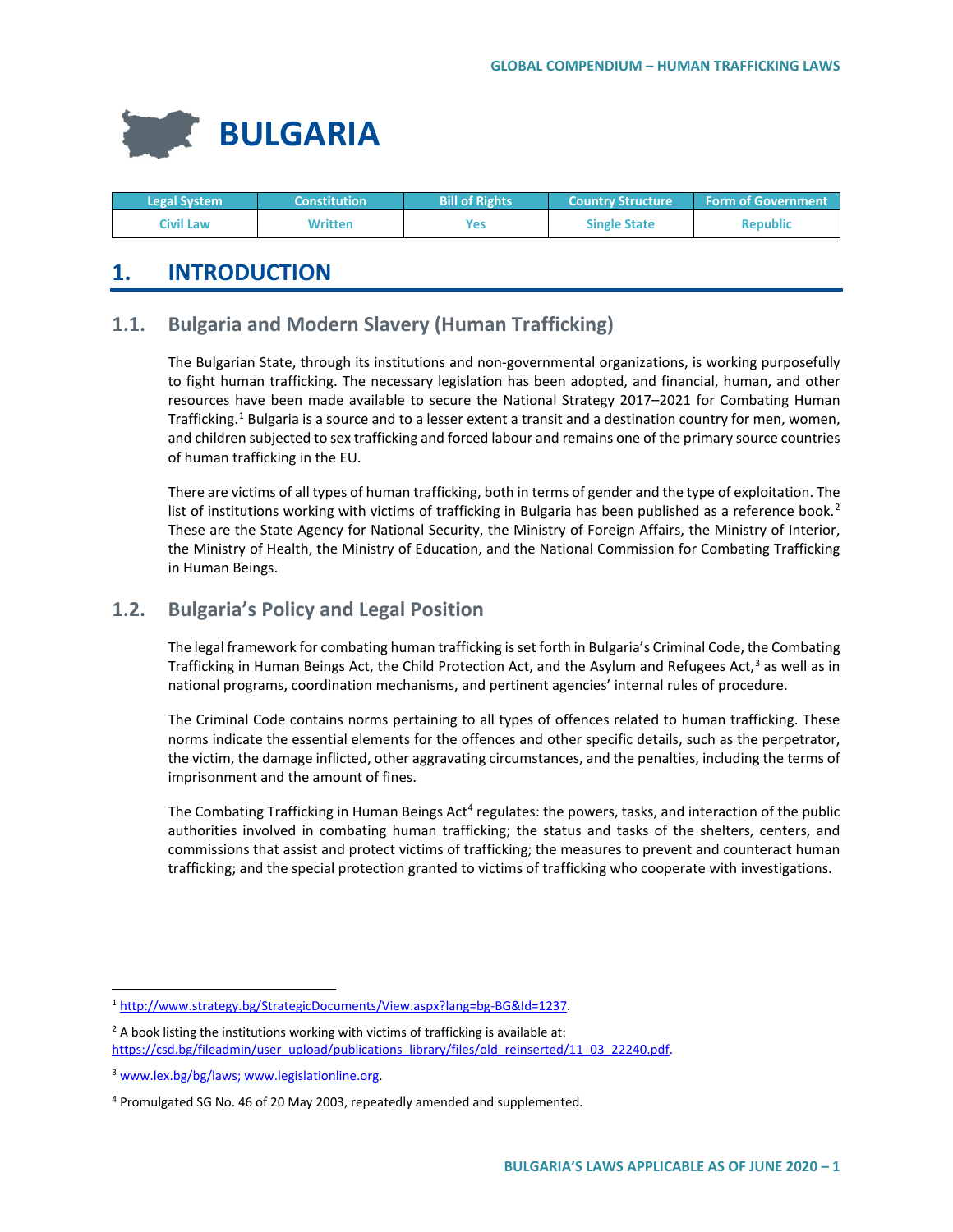

| <b>Legal System</b> | <b>Constitution</b> | <b>Bill of Rights</b> | <b>Country Structure</b> | <b>Form of Government</b> |
|---------------------|---------------------|-----------------------|--------------------------|---------------------------|
| Civil Law           | Written             | Yes                   | <b>Single State</b>      | <b>Republic</b>           |

# **1. INTRODUCTION**

# **1.1. Bulgaria and Modern Slavery (Human Trafficking)**

The Bulgarian State, through its institutions and non-governmental organizations, is working purposefully to fight human trafficking. The necessary legislation has been adopted, and financial, human, and other resources have been made available to secure the National Strategy 2017–2021 for Combating Human Trafficking.<sup>[1](#page-0-0)</sup> Bulgaria is a source and to a lesser extent a transit and a destination country for men, women, and children subjected to sex trafficking and forced labour and remains one of the primary source countries of human trafficking in the EU.

There are victims of all types of human trafficking, both in terms of gender and the type of exploitation. The list of institutions working with victims of trafficking in Bulgaria has been published as a reference book.<sup>[2](#page-0-1)</sup> These are the State Agency for National Security, the Ministry of Foreign Affairs, the Ministry of Interior, the Ministry of Health, the Ministry of Education, and the National Commission for Combating Trafficking in Human Beings.

# **1.2. Bulgaria's Policy and Legal Position**

The legal framework for combating human trafficking is set forth in Bulgaria's Criminal Code, the Combating Trafficking in Human Beings Act, the Child Protection Act, and the Asylum and Refugees Act, $3$  as well as in national programs, coordination mechanisms, and pertinent agencies' internal rules of procedure.

The Criminal Code contains norms pertaining to all types of offences related to human trafficking. These norms indicate the essential elements for the offences and other specific details, such as the perpetrator, the victim, the damage inflicted, other aggravating circumstances, and the penalties, including the terms of imprisonment and the amount of fines.

The Combating Trafficking in Human Beings Act<sup>[4](#page-0-3)</sup> regulates: the powers, tasks, and interaction of the public authorities involved in combating human trafficking; the status and tasks of the shelters, centers, and commissions that assist and protect victims of trafficking; the measures to prevent and counteract human trafficking; and the special protection granted to victims of trafficking who cooperate with investigations.

<span id="page-0-1"></span><sup>2</sup> A book listing the institutions working with victims of trafficking is available at: [https://csd.bg/fileadmin/user\\_upload/publications\\_library/files/old\\_reinserted/11\\_03\\_22240.pdf.](https://csd.bg/fileadmin/user_upload/publications_library/files/old_reinserted/11_03_22240.pdf)

<span id="page-0-0"></span> <sup>1</sup> [http://www.strategy.bg/StrategicDocuments/View.aspx?lang=bg-BG&Id=1237.](http://www.strategy.bg/StrategicDocuments/View.aspx?lang=bg-BG&Id=1237)

<span id="page-0-2"></span><sup>3</sup> [www.lex.bg/bg/laws;](http://www.lex.bg/bg/laws) [www.legislationline.org.](http://www.legislationline.org/)

<span id="page-0-3"></span><sup>4</sup> Promulgated SG No. 46 of 20 May 2003, repeatedly amended and supplemented.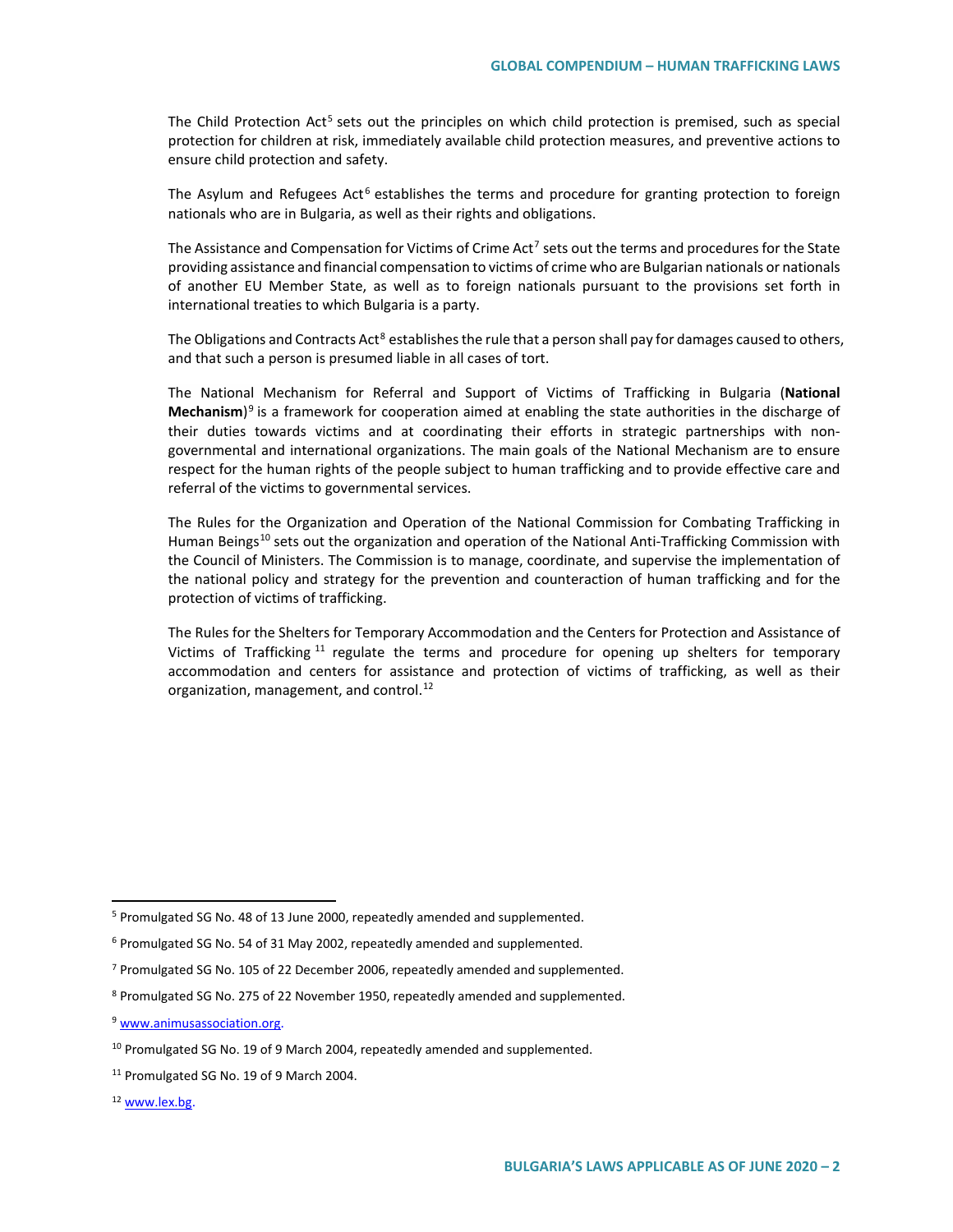The Child Protection Act<sup>[5](#page-1-0)</sup> sets out the principles on which child protection is premised, such as special protection for children at risk, immediately available child protection measures, and preventive actions to ensure child protection and safety.

The Asylum and Refugees Act<sup>[6](#page-1-1)</sup> establishes the terms and procedure for granting protection to foreign nationals who are in Bulgaria, as well as their rights and obligations.

The Assistance and Compensation for Victims of Crime Act<sup>[7](#page-1-2)</sup> sets out the terms and procedures for the State providing assistance and financial compensation to victims of crime who are Bulgarian nationals or nationals of another EU Member State, as well as to foreign nationals pursuant to the provisions set forth in international treaties to which Bulgaria is a party.

The Obligations and Contracts Act<sup>[8](#page-1-3)</sup> establishes the rule that a person shall pay for damages caused to others, and that such a person is presumed liable in all cases of tort.

The National Mechanism for Referral and Support of Victims of Trafficking in Bulgaria (**National Mechanism**)[9](#page-1-4) is a framework for cooperation aimed at enabling the state authorities in the discharge of their duties towards victims and at coordinating their efforts in strategic partnerships with nongovernmental and international organizations. The main goals of the National Mechanism are to ensure respect for the human rights of the people subject to human trafficking and to provide effective care and referral of the victims to governmental services.

The Rules for the Organization and Operation of the National Commission for Combating Trafficking in Human Beings<sup>[10](#page-1-5)</sup> sets out the organization and operation of the National Anti-Trafficking Commission with the Council of Ministers. The Commission is to manage, coordinate, and supervise the implementation of the national policy and strategy for the prevention and counteraction of human trafficking and for the protection of victims of trafficking.

The Rules for the Shelters for Temporary Accommodation and the Centers for Protection and Assistance of Victims of Trafficking  $11$  regulate the terms and procedure for opening up shelters for temporary accommodation and centers for assistance and protection of victims of trafficking, as well as their organization, management, and control.<sup>[12](#page-1-7)</sup>

<span id="page-1-0"></span> <sup>5</sup> Promulgated SG No. 48 of 13 June 2000, repeatedly amended and supplemented.

<span id="page-1-1"></span><sup>6</sup> Promulgated SG No. 54 of 31 May 2002, repeatedly amended and supplemented.

<span id="page-1-2"></span><sup>7</sup> Promulgated SG No. 105 of 22 December 2006, repeatedly amended and supplemented.

<span id="page-1-3"></span><sup>8</sup> Promulgated SG No. 275 of 22 November 1950, repeatedly amended and supplemented.

<span id="page-1-4"></span><sup>9</sup> [www.animusassociation.org.](http://www.animusassociation.org/)

<span id="page-1-5"></span><sup>&</sup>lt;sup>10</sup> Promulgated SG No. 19 of 9 March 2004, repeatedly amended and supplemented.

<span id="page-1-6"></span><sup>&</sup>lt;sup>11</sup> Promulgated SG No. 19 of 9 March 2004.

<span id="page-1-7"></span><sup>12</sup> [www.lex.bg.](http://www.lex.bg/)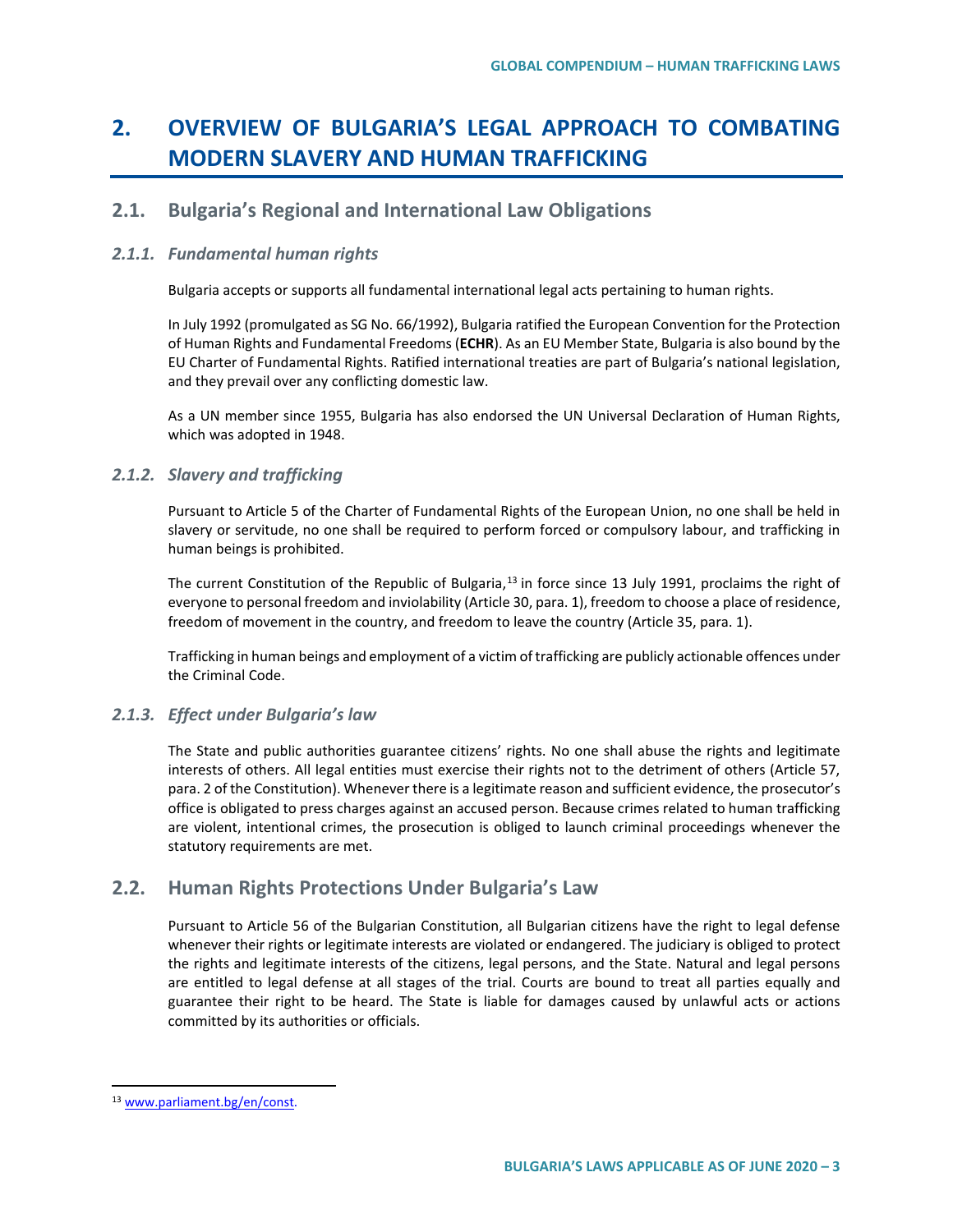# **2. OVERVIEW OF BULGARIA'S LEGAL APPROACH TO COMBATING MODERN SLAVERY AND HUMAN TRAFFICKING**

### **2.1. Bulgaria's Regional and International Law Obligations**

#### *2.1.1. Fundamental human rights*

Bulgaria accepts or supports all fundamental international legal acts pertaining to human rights.

In July 1992 (promulgated as SG No. 66/1992), Bulgaria ratified the European Convention for the Protection of Human Rights and Fundamental Freedoms (**ECHR**). As an EU Member State, Bulgaria is also bound by the EU Charter of Fundamental Rights. Ratified international treaties are part of Bulgaria's national legislation, and they prevail over any conflicting domestic law.

As a UN member since 1955, Bulgaria has also endorsed the UN Universal Declaration of Human Rights, which was adopted in 1948.

### *2.1.2. Slavery and trafficking*

Pursuant to Article 5 of the Charter of Fundamental Rights of the European Union, no one shall be held in slavery or servitude, no one shall be required to perform forced or compulsory labour, and trafficking in human beings is prohibited.

The current Constitution of the Republic of Bulgaria,<sup>[13](#page-2-0)</sup> in force since 13 July 1991, proclaims the right of everyone to personal freedom and inviolability (Article 30, para. 1), freedom to choose a place of residence, freedom of movement in the country, and freedom to leave the country (Article 35, para. 1).

Trafficking in human beings and employment of a victim of trafficking are publicly actionable offences under the Criminal Code.

#### *2.1.3. Effect under Bulgaria's law*

The State and public authorities guarantee citizens' rights. No one shall abuse the rights and legitimate interests of others. All legal entities must exercise their rights not to the detriment of others (Article 57, para. 2 of the Constitution). Whenever there is a legitimate reason and sufficient evidence, the prosecutor's office is obligated to press charges against an accused person. Because crimes related to human trafficking are violent, intentional crimes, the prosecution is obliged to launch criminal proceedings whenever the statutory requirements are met.

# **2.2. Human Rights Protections Under Bulgaria's Law**

Pursuant to Article 56 of the Bulgarian Constitution, all Bulgarian citizens have the right to legal defense whenever their rights or legitimate interests are violated or endangered. The judiciary is obliged to protect the rights and legitimate interests of the citizens, legal persons, and the State. Natural and legal persons are entitled to legal defense at all stages of the trial. Courts are bound to treat all parties equally and guarantee their right to be heard. The State is liable for damages caused by unlawful acts or actions committed by its authorities or officials.

<span id="page-2-0"></span> <sup>13</sup> [www.parliament.bg/en/const.](http://www.parliament.bg/en/const)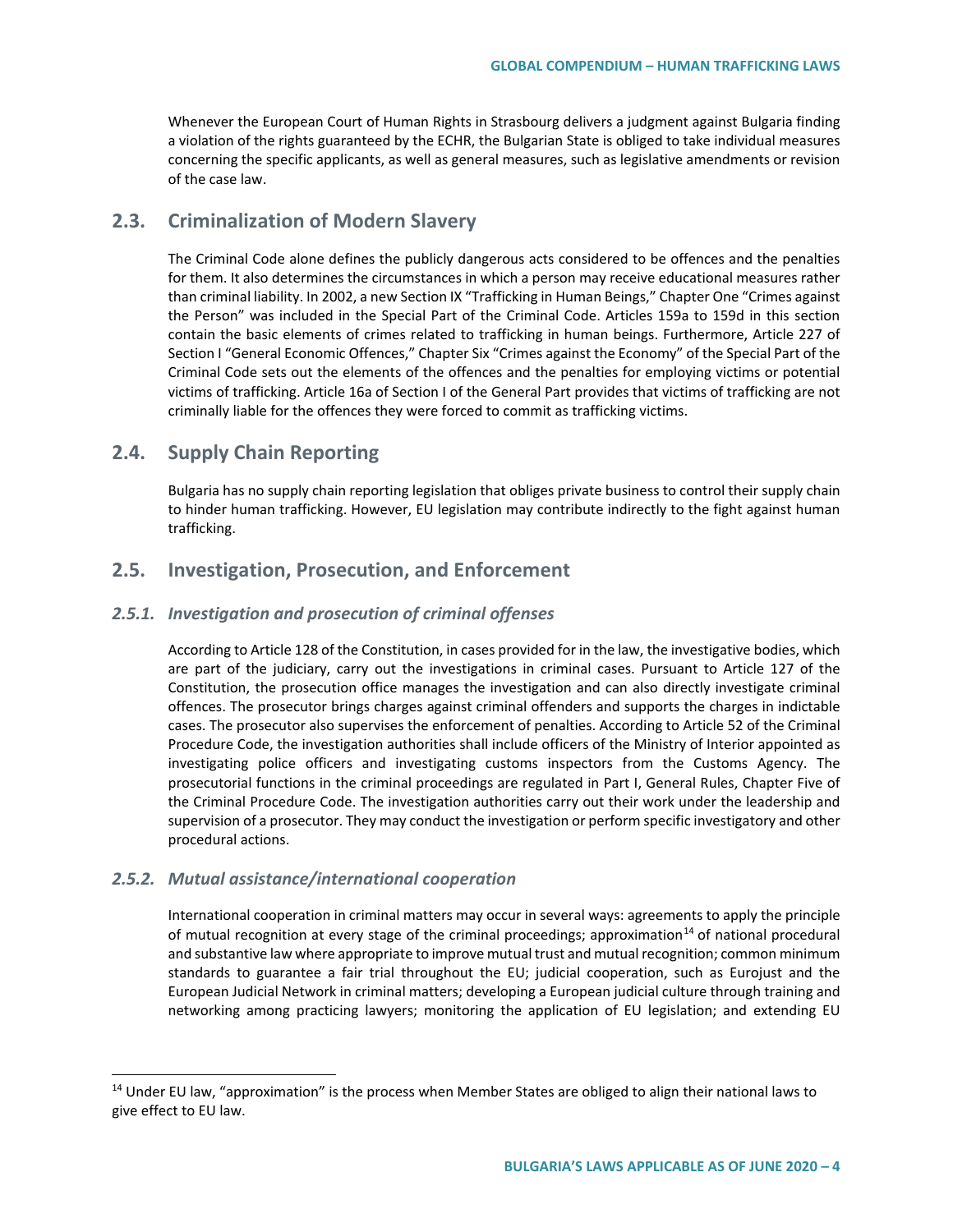Whenever the European Court of Human Rights in Strasbourg delivers a judgment against Bulgaria finding a violation of the rights guaranteed by the ECHR, the Bulgarian State is obliged to take individual measures concerning the specific applicants, as well as general measures, such as legislative amendments or revision of the case law.

# **2.3. Criminalization of Modern Slavery**

The Criminal Code alone defines the publicly dangerous acts considered to be offences and the penalties for them. It also determines the circumstances in which a person may receive educational measures rather than criminal liability. In 2002, a new Section IX "Trafficking in Human Beings," Chapter One "Crimes against the Person" was included in the Special Part of the Criminal Code. Articles 159a to 159d in this section contain the basic elements of crimes related to trafficking in human beings. Furthermore, Article 227 of Section I "General Economic Offences," Chapter Six "Crimes against the Economy" of the Special Part of the Criminal Code sets out the elements of the offences and the penalties for employing victims or potential victims of trafficking. Article 16a of Section I of the General Part provides that victims of trafficking are not criminally liable for the offences they were forced to commit as trafficking victims.

# **2.4. Supply Chain Reporting**

Bulgaria has no supply chain reporting legislation that obliges private business to control their supply chain to hinder human trafficking. However, EU legislation may contribute indirectly to the fight against human trafficking.

### **2.5. Investigation, Prosecution, and Enforcement**

#### *2.5.1. Investigation and prosecution of criminal offenses*

According to Article 128 of the Constitution, in cases provided for in the law, the investigative bodies, which are part of the judiciary, carry out the investigations in criminal cases. Pursuant to Article 127 of the Constitution, the prosecution office manages the investigation and can also directly investigate criminal offences. The prosecutor brings charges against criminal offenders and supports the charges in indictable cases. The prosecutor also supervises the enforcement of penalties. According to Article 52 of the Criminal Procedure Code, the investigation authorities shall include officers of the Ministry of Interior appointed as investigating police officers and investigating customs inspectors from the Customs Agency. The prosecutorial functions in the criminal proceedings are regulated in Part I, General Rules, Chapter Five of the Criminal Procedure Code. The investigation authorities carry out their work under the leadership and supervision of a prosecutor. They may conduct the investigation or perform specific investigatory and other procedural actions.

#### *2.5.2. Mutual assistance/international cooperation*

International cooperation in criminal matters may occur in several ways: agreements to apply the principle of mutual recognition at every stage of the criminal proceedings; approximation<sup>[14](#page-3-0)</sup> of national procedural and substantive law where appropriate to improve mutual trust and mutual recognition; common minimum standards to guarantee a fair trial throughout the EU; judicial cooperation, such as Eurojust and the European Judicial Network in criminal matters; developing a European judicial culture through training and networking among practicing lawyers; monitoring the application of EU legislation; and extending EU

<span id="page-3-0"></span><sup>&</sup>lt;sup>14</sup> Under EU law, "approximation" is the process when Member States are obliged to align their national laws to give effect to EU law.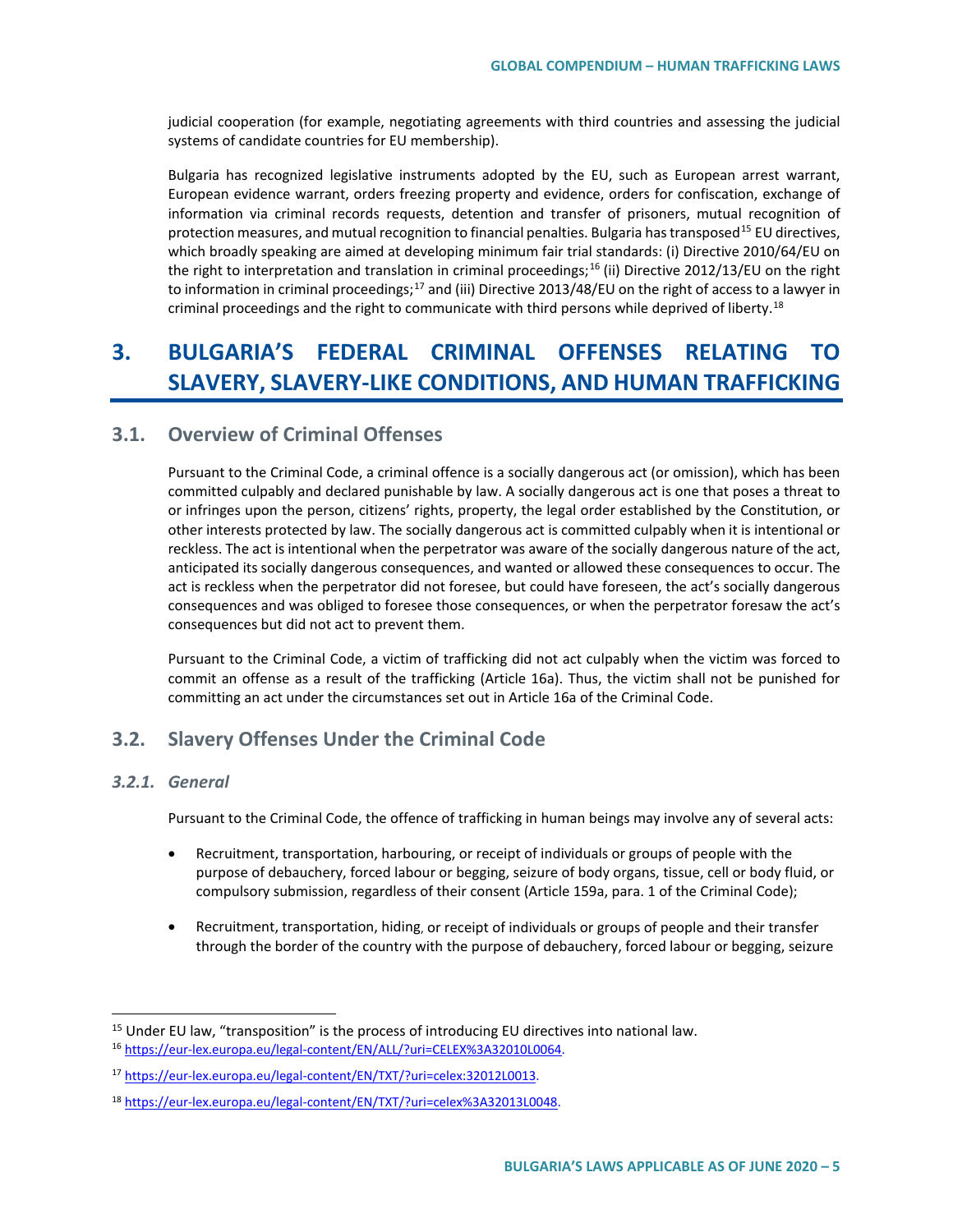judicial cooperation (for example, negotiating agreements with third countries and assessing the judicial systems of candidate countries for EU membership).

Bulgaria has recognized legislative instruments adopted by the EU, such as European arrest warrant, European evidence warrant, orders freezing property and evidence, orders for confiscation, exchange of information via criminal records requests, detention and transfer of prisoners, mutual recognition of protection measures, and mutual recognition to financial penalties. Bulgaria has transposed<sup>[15](#page-4-0)</sup> EU directives, which broadly speaking are aimed at developing minimum fair trial standards: (i) Directive 2010/64/EU on the right to interpretation and translation in criminal proceedings;<sup>[16](#page-4-1)</sup> (ii) Directive 2012/13/EU on the right to information in criminal proceedings;<sup>[17](#page-4-2)</sup> and (iii) Directive 2013/48/EU on the right of access to a lawyer in criminal proceedings and the right to communicate with third persons while deprived of liberty.<sup>[18](#page-4-3)</sup>

# **3. BULGARIA'S FEDERAL CRIMINAL OFFENSES RELATING TO SLAVERY, SLAVERY-LIKE CONDITIONS, AND HUMAN TRAFFICKING**

### **3.1. Overview of Criminal Offenses**

Pursuant to the Criminal Code, a criminal offence is a socially dangerous act (or omission), which has been committed culpably and declared punishable by law. A socially dangerous act is one that poses a threat to or infringes upon the person, citizens' rights, property, the legal order established by the Constitution, or other interests protected by law. The socially dangerous act is committed culpably when it is intentional or reckless. The act is intentional when the perpetrator was aware of the socially dangerous nature of the act, anticipated its socially dangerous consequences, and wanted or allowed these consequences to occur. The act is reckless when the perpetrator did not foresee, but could have foreseen, the act's socially dangerous consequences and was obliged to foresee those consequences, or when the perpetrator foresaw the act's consequences but did not act to prevent them.

Pursuant to the Criminal Code, a victim of trafficking did not act culpably when the victim was forced to commit an offense as a result of the trafficking (Article 16a). Thus, the victim shall not be punished for committing an act under the circumstances set out in Article 16a of the Criminal Code.

# **3.2. Slavery Offenses Under the Criminal Code**

#### *3.2.1. General*

Pursuant to the Criminal Code, the offence of trafficking in human beings may involve any of several acts:

- Recruitment, transportation, harbouring, or receipt of individuals or groups of people with the purpose of debauchery, forced labour or begging, seizure of body organs, tissue, cell or body fluid, or compulsory submission, regardless of their consent (Article 159a, para. 1 of the Criminal Code);
- Recruitment, transportation, hiding, or receipt of individuals or groups of people and their transfer through the border of the country with the purpose of debauchery, forced labour or begging, seizure

<span id="page-4-1"></span><span id="page-4-0"></span><sup>&</sup>lt;sup>15</sup> Under EU law, "transposition" is the process of introducing EU directives into national law.<br><sup>16</sup> [https://eur-lex.europa.eu/legal-content/EN/ALL/?uri=CELEX%3A32010L0064.](https://eur-lex.europa.eu/legal-content/EN/ALL/?uri=CELEX%3A32010L0064)

<span id="page-4-2"></span><sup>17</sup> [https://eur-lex.europa.eu/legal-content/EN/TXT/?uri=celex:32012L0013.](https://eur-lex.europa.eu/legal-content/EN/TXT/?uri=celex:32012L0013)

<span id="page-4-3"></span><sup>18</sup> [https://eur-lex.europa.eu/legal-content/EN/TXT/?uri=celex%3A32013L0048.](https://eur-lex.europa.eu/legal-content/EN/TXT/?uri=celex%3A32013L0048)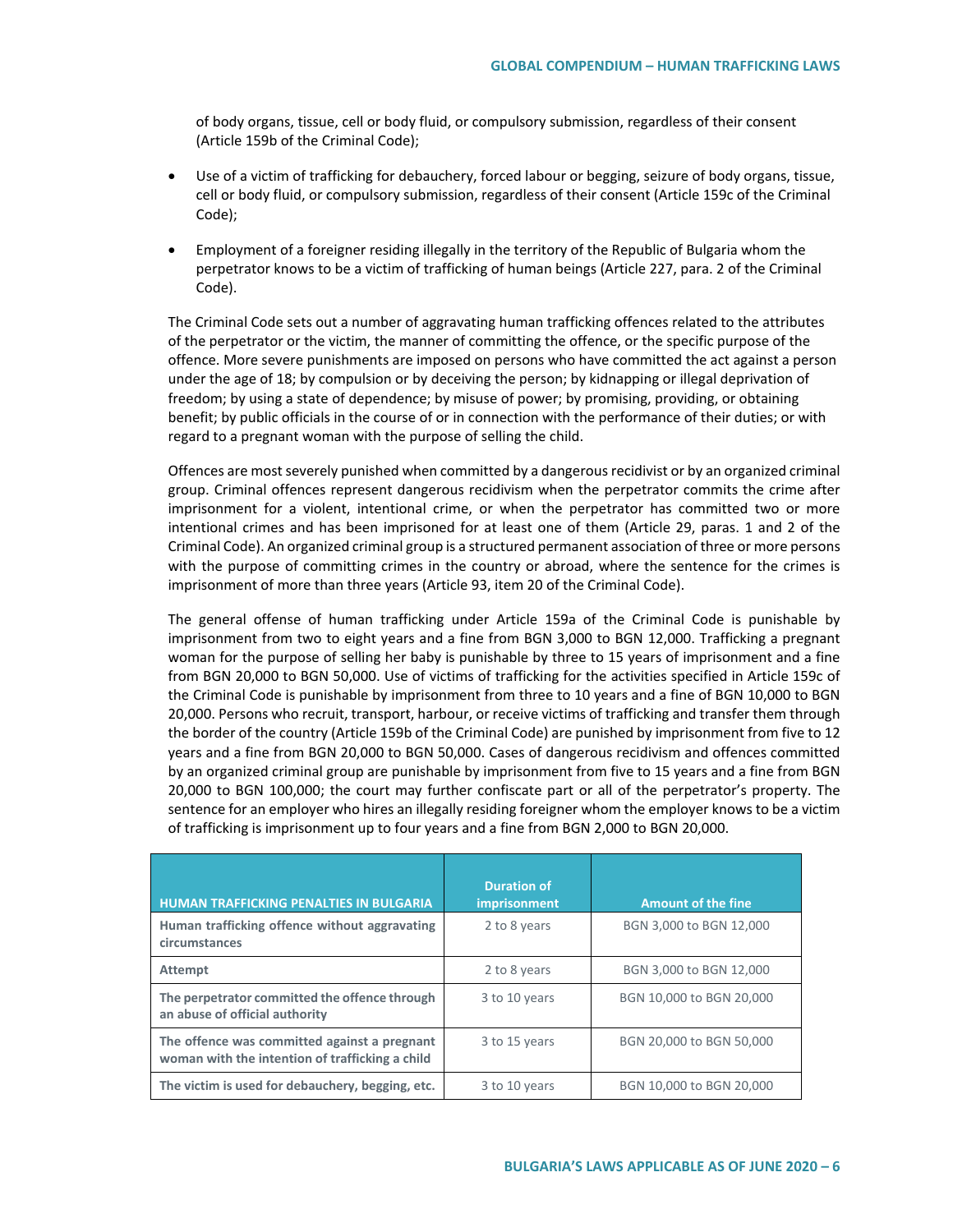of body organs, tissue, cell or body fluid, or compulsory submission, regardless of their consent (Article 159b of the Criminal Code);

- Use of a victim of trafficking for debauchery, forced labour or begging, seizure of body organs, tissue, cell or body fluid, or compulsory submission, regardless of their consent (Article 159c of the Criminal Code);
- Employment of a foreigner residing illegally in the territory of the Republic of Bulgaria whom the perpetrator knows to be a victim of trafficking of human beings (Article 227, para. 2 of the Criminal Code).

The Criminal Code sets out a number of aggravating human trafficking offences related to the attributes of the perpetrator or the victim, the manner of committing the offence, or the specific purpose of the offence. More severe punishments are imposed on persons who have committed the act against a person under the age of 18; by compulsion or by deceiving the person; by kidnapping or illegal deprivation of freedom; by using a state of dependence; by misuse of power; by promising, providing, or obtaining benefit; by public officials in the course of or in connection with the performance of their duties; or with regard to a pregnant woman with the purpose of selling the child.

Offences are most severely punished when committed by a dangerous recidivist or by an organized criminal group. Criminal offences represent dangerous recidivism when the perpetrator commits the crime after imprisonment for a violent, intentional crime, or when the perpetrator has committed two or more intentional crimes and has been imprisoned for at least one of them (Article 29, paras. 1 and 2 of the Criminal Code). An organized criminal group is a structured permanent association of three or more persons with the purpose of committing crimes in the country or abroad, where the sentence for the crimes is imprisonment of more than three years (Article 93, item 20 of the Criminal Code).

The general offense of human trafficking under Article 159a of the Criminal Code is punishable by imprisonment from two to eight years and a fine from BGN 3,000 to BGN 12,000. Trafficking a pregnant woman for the purpose of selling her baby is punishable by three to 15 years of imprisonment and a fine from BGN 20,000 to BGN 50,000. Use of victims of trafficking for the activities specified in Article 159c of the Criminal Code is punishable by imprisonment from three to 10 years and a fine of BGN 10,000 to BGN 20,000. Persons who recruit, transport, harbour, or receive victims of trafficking and transfer them through the border of the country (Article 159b of the Criminal Code) are punished by imprisonment from five to 12 years and a fine from BGN 20,000 to BGN 50,000. Cases of dangerous recidivism and offences committed by an organized criminal group are punishable by imprisonment from five to 15 years and a fine from BGN 20,000 to BGN 100,000; the court may further confiscate part or all of the perpetrator's property. The sentence for an employer who hires an illegally residing foreigner whom the employer knows to be a victim of trafficking is imprisonment up to four years and a fine from BGN 2,000 to BGN 20,000.

| <b>HUMAN TRAFFICKING PENALTIES IN BULGARIA</b>                                                  | <b>Duration of</b><br>imprisonment | <b>Amount of the fine</b> |
|-------------------------------------------------------------------------------------------------|------------------------------------|---------------------------|
| Human trafficking offence without aggravating<br>circumstances                                  | 2 to 8 years                       | BGN 3,000 to BGN 12,000   |
| <b>Attempt</b>                                                                                  | 2 to 8 years                       | BGN 3,000 to BGN 12,000   |
| The perpetrator committed the offence through<br>an abuse of official authority                 | 3 to 10 years                      | BGN 10,000 to BGN 20,000  |
| The offence was committed against a pregnant<br>woman with the intention of trafficking a child | 3 to 15 years                      | BGN 20,000 to BGN 50,000  |
| The victim is used for debauchery, begging, etc.                                                | 3 to 10 years                      | BGN 10,000 to BGN 20,000  |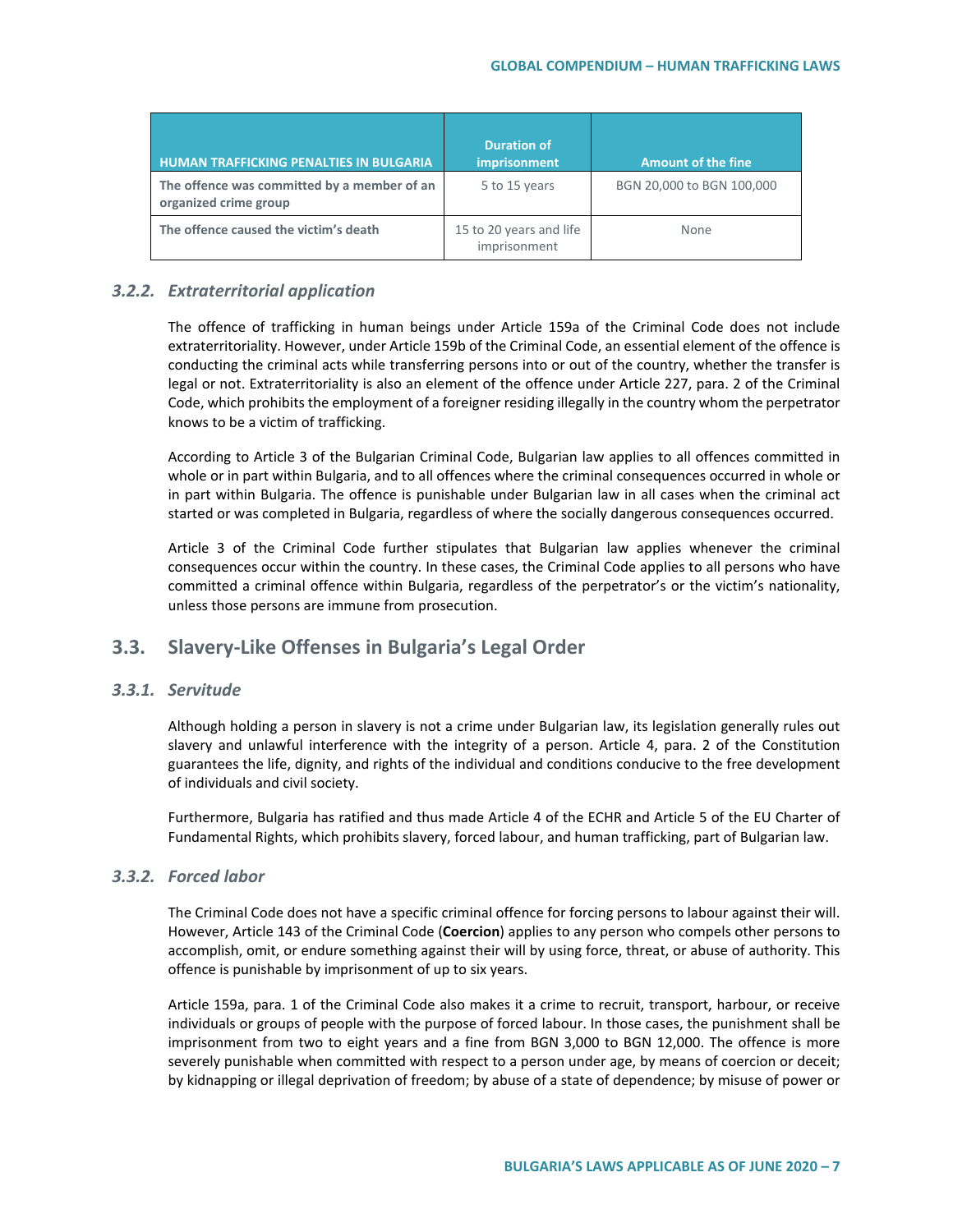| <b>HUMAN TRAFFICKING PENALTIES IN BULGARIA</b>                       | <b>Duration of</b><br>imprisonment      | <b>Amount of the fine</b> |
|----------------------------------------------------------------------|-----------------------------------------|---------------------------|
| The offence was committed by a member of an<br>organized crime group | 5 to 15 years                           | BGN 20,000 to BGN 100,000 |
| The offence caused the victim's death                                | 15 to 20 years and life<br>imprisonment | <b>None</b>               |

### *3.2.2. Extraterritorial application*

The offence of trafficking in human beings under Article 159a of the Criminal Code does not include extraterritoriality. However, under Article 159b of the Criminal Code, an essential element of the offence is conducting the criminal acts while transferring persons into or out of the country, whether the transfer is legal or not. Extraterritoriality is also an element of the offence under Article 227, para. 2 of the Criminal Code, which prohibits the employment of a foreigner residing illegally in the country whom the perpetrator knows to be a victim of trafficking.

According to Article 3 of the Bulgarian Criminal Code, Bulgarian law applies to all offences committed in whole or in part within Bulgaria, and to all offences where the criminal consequences occurred in whole or in part within Bulgaria. The offence is punishable under Bulgarian law in all cases when the criminal act started or was completed in Bulgaria, regardless of where the socially dangerous consequences occurred.

Article 3 of the Criminal Code further stipulates that Bulgarian law applies whenever the criminal consequences occur within the country. In these cases, the Criminal Code applies to all persons who have committed a criminal offence within Bulgaria, regardless of the perpetrator's or the victim's nationality, unless those persons are immune from prosecution.

# **3.3. Slavery-Like Offenses in Bulgaria's Legal Order**

### *3.3.1. Servitude*

Although holding a person in slavery is not a crime under Bulgarian law, its legislation generally rules out slavery and unlawful interference with the integrity of a person. Article 4, para. 2 of the Constitution guarantees the life, dignity, and rights of the individual and conditions conducive to the free development of individuals and civil society.

Furthermore, Bulgaria has ratified and thus made Article 4 of the ECHR and Article 5 of the EU Charter of Fundamental Rights, which prohibits slavery, forced labour, and human trafficking, part of Bulgarian law.

#### *3.3.2. Forced labor*

The Criminal Code does not have a specific criminal offence for forcing persons to labour against their will. However, Article 143 of the Criminal Code (**Coercion**) applies to any person who compels other persons to accomplish, omit, or endure something against their will by using force, threat, or abuse of authority. This offence is punishable by imprisonment of up to six years.

Article 159a, para. 1 of the Criminal Code also makes it a crime to recruit, transport, harbour, or receive individuals or groups of people with the purpose of forced labour. In those cases, the punishment shall be imprisonment from two to eight years and a fine from BGN 3,000 to BGN 12,000. The offence is more severely punishable when committed with respect to a person under age, by means of coercion or deceit; by kidnapping or illegal deprivation of freedom; by abuse of a state of dependence; by misuse of power or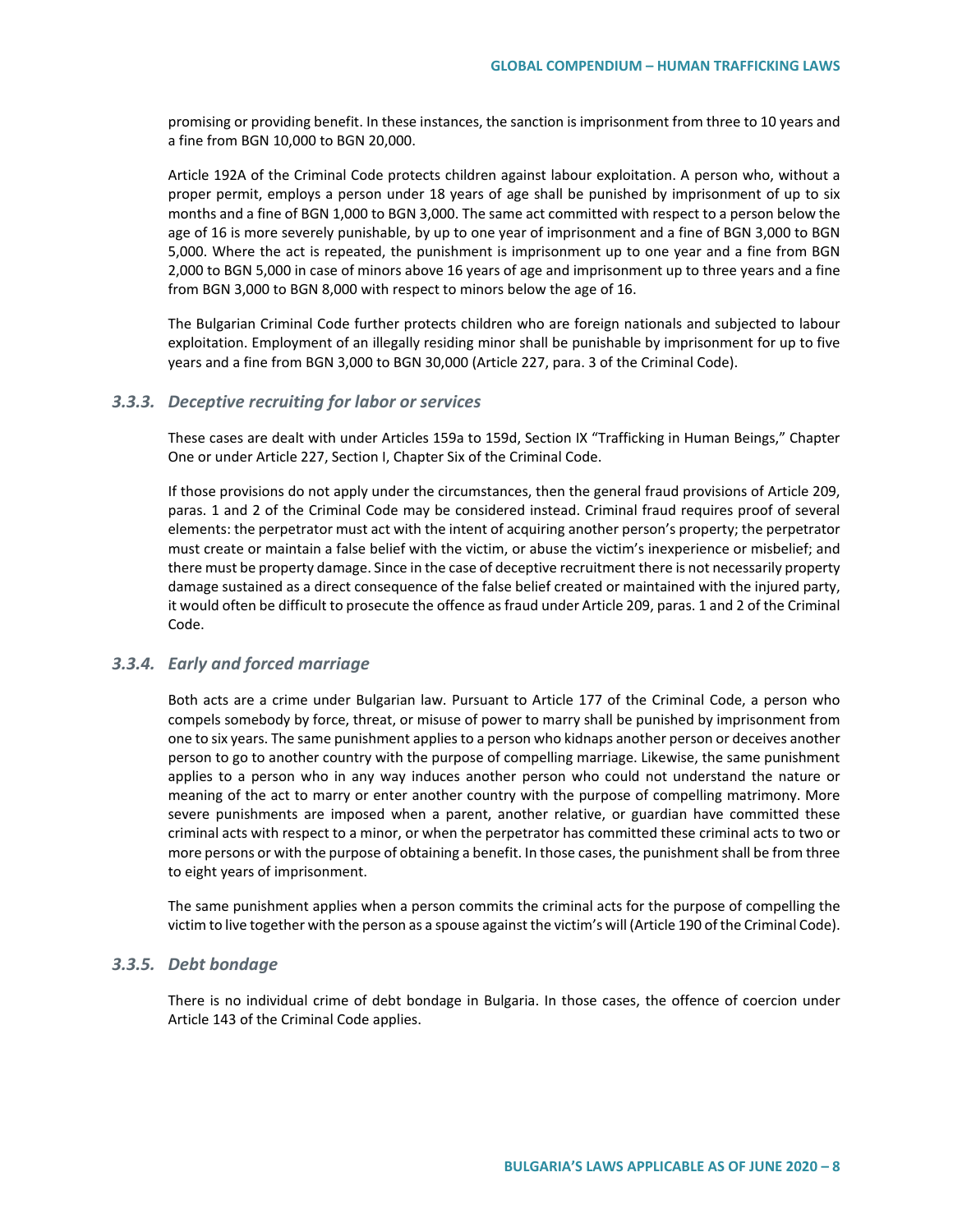promising or providing benefit. In these instances, the sanction is imprisonment from three to 10 years and a fine from BGN 10,000 to BGN 20,000.

Article 192A of the Criminal Code protects children against labour exploitation. A person who, without a proper permit, employs a person under 18 years of age shall be punished by imprisonment of up to six months and a fine of BGN 1,000 to BGN 3,000. The same act committed with respect to a person below the age of 16 is more severely punishable, by up to one year of imprisonment and a fine of BGN 3,000 to BGN 5,000. Where the act is repeated, the punishment is imprisonment up to one year and a fine from BGN 2,000 to BGN 5,000 in case of minors above 16 years of age and imprisonment up to three years and a fine from BGN 3,000 to BGN 8,000 with respect to minors below the age of 16.

The Bulgarian Criminal Code further protects children who are foreign nationals and subjected to labour exploitation. Employment of an illegally residing minor shall be punishable by imprisonment for up to five years and a fine from BGN 3,000 to BGN 30,000 (Article 227, para. 3 of the Criminal Code).

#### *3.3.3. Deceptive recruiting for labor or services*

These cases are dealt with under Articles 159a to 159d, Section IX "Trafficking in Human Beings," Chapter One or under Article 227, Section I, Chapter Six of the Criminal Code.

If those provisions do not apply under the circumstances, then the general fraud provisions of Article 209, paras. 1 and 2 of the Criminal Code may be considered instead. Criminal fraud requires proof of several elements: the perpetrator must act with the intent of acquiring another person's property; the perpetrator must create or maintain a false belief with the victim, or abuse the victim's inexperience or misbelief; and there must be property damage. Since in the case of deceptive recruitment there is not necessarily property damage sustained as a direct consequence of the false belief created or maintained with the injured party, it would often be difficult to prosecute the offence as fraud under Article 209, paras. 1 and 2 of the Criminal Code.

#### *3.3.4. Early and forced marriage*

Both acts are a crime under Bulgarian law. Pursuant to Article 177 of the Criminal Code, a person who compels somebody by force, threat, or misuse of power to marry shall be punished by imprisonment from one to six years. The same punishment applies to a person who kidnaps another person or deceives another person to go to another country with the purpose of compelling marriage. Likewise, the same punishment applies to a person who in any way induces another person who could not understand the nature or meaning of the act to marry or enter another country with the purpose of compelling matrimony. More severe punishments are imposed when a parent, another relative, or guardian have committed these criminal acts with respect to a minor, or when the perpetrator has committed these criminal acts to two or more persons or with the purpose of obtaining a benefit. In those cases, the punishment shall be from three to eight years of imprisonment.

The same punishment applies when a person commits the criminal acts for the purpose of compelling the victim to live together with the person as a spouse against the victim's will (Article 190 of the Criminal Code).

#### *3.3.5. Debt bondage*

There is no individual crime of debt bondage in Bulgaria. In those cases, the offence of coercion under Article 143 of the Criminal Code applies.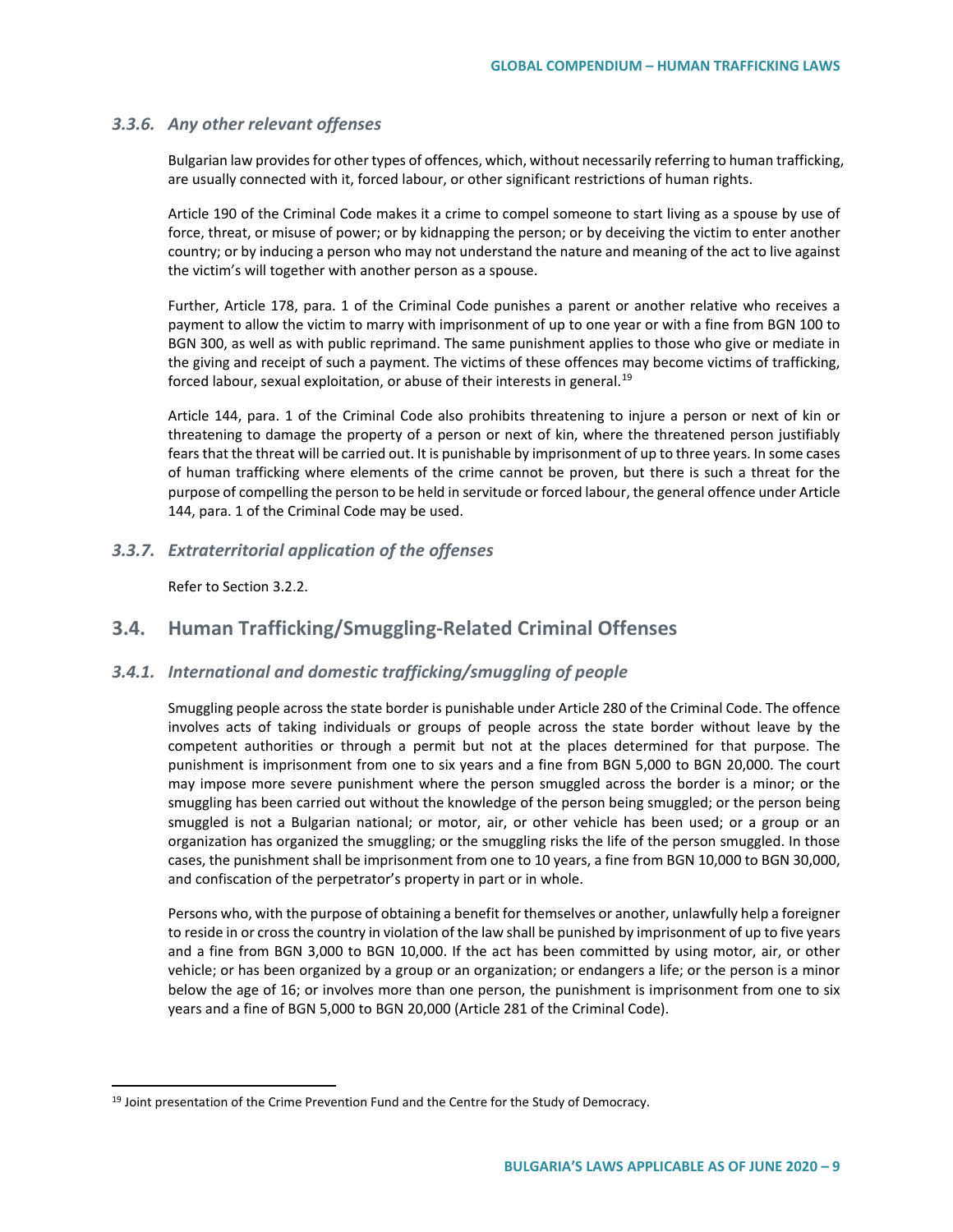#### *3.3.6. Any other relevant offenses*

Bulgarian law provides for other types of offences, which, without necessarily referring to human trafficking, are usually connected with it, forced labour, or other significant restrictions of human rights.

Article 190 of the Criminal Code makes it a crime to compel someone to start living as a spouse by use of force, threat, or misuse of power; or by kidnapping the person; or by deceiving the victim to enter another country; or by inducing a person who may not understand the nature and meaning of the act to live against the victim's will together with another person as a spouse.

Further, Article 178, para. 1 of the Criminal Code punishes a parent or another relative who receives a payment to allow the victim to marry with imprisonment of up to one year or with a fine from BGN 100 to BGN 300, as well as with public reprimand. The same punishment applies to those who give or mediate in the giving and receipt of such a payment. The victims of these offences may become victims of trafficking, forced labour, sexual exploitation, or abuse of their interests in general.<sup>[19](#page-8-0)</sup>

Article 144, para. 1 of the Criminal Code also prohibits threatening to injure a person or next of kin or threatening to damage the property of a person or next of kin, where the threatened person justifiably fears that the threat will be carried out. It is punishable by imprisonment of up to three years. In some cases of human trafficking where elements of the crime cannot be proven, but there is such a threat for the purpose of compelling the person to be held in servitude or forced labour, the general offence under Article 144, para. 1 of the Criminal Code may be used.

#### *3.3.7. Extraterritorial application of the offenses*

Refer to Section 3.2.2.

# **3.4. Human Trafficking/Smuggling-Related Criminal Offenses**

#### *3.4.1. International and domestic trafficking/smuggling of people*

Smuggling people across the state border is punishable under Article 280 of the Criminal Code. The offence involves acts of taking individuals or groups of people across the state border without leave by the competent authorities or through a permit but not at the places determined for that purpose. The punishment is imprisonment from one to six years and a fine from BGN 5,000 to BGN 20,000. The court may impose more severe punishment where the person smuggled across the border is a minor; or the smuggling has been carried out without the knowledge of the person being smuggled; or the person being smuggled is not a Bulgarian national; or motor, air, or other vehicle has been used; or a group or an organization has organized the smuggling; or the smuggling risks the life of the person smuggled. In those cases, the punishment shall be imprisonment from one to 10 years, a fine from BGN 10,000 to BGN 30,000, and confiscation of the perpetrator's property in part or in whole.

Persons who, with the purpose of obtaining a benefit for themselves or another, unlawfully help a foreigner to reside in or cross the country in violation of the law shall be punished by imprisonment of up to five years and a fine from BGN 3,000 to BGN 10,000. If the act has been committed by using motor, air, or other vehicle; or has been organized by a group or an organization; or endangers a life; or the person is a minor below the age of 16; or involves more than one person, the punishment is imprisonment from one to six years and a fine of BGN 5,000 to BGN 20,000 (Article 281 of the Criminal Code).

<span id="page-8-0"></span><sup>&</sup>lt;sup>19</sup> Joint presentation of the Crime Prevention Fund and the Centre for the Study of Democracy.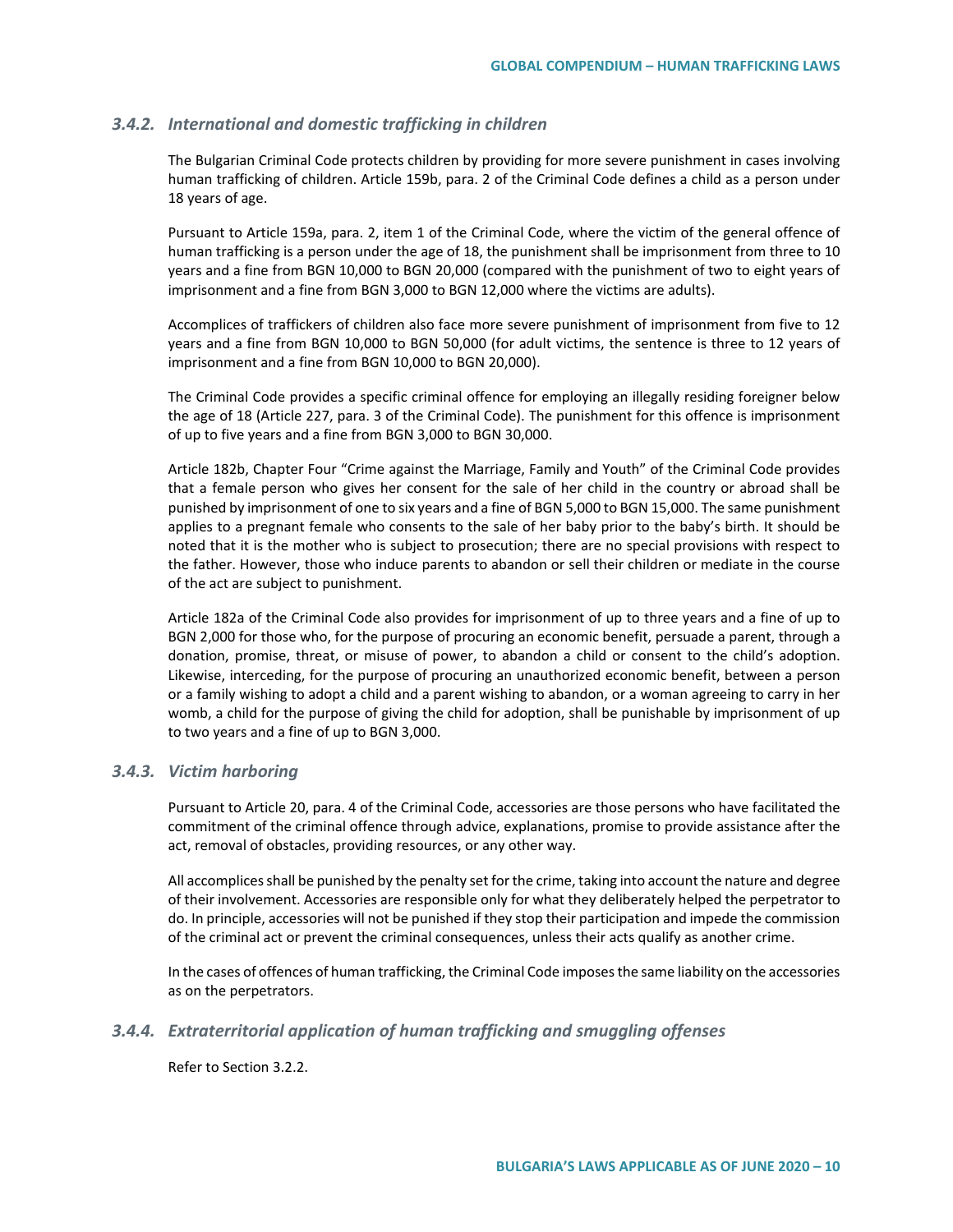#### *3.4.2. International and domestic trafficking in children*

The Bulgarian Criminal Code protects children by providing for more severe punishment in cases involving human trafficking of children. Article 159b, para. 2 of the Criminal Code defines a child as a person under 18 years of age.

Pursuant to Article 159a, para. 2, item 1 of the Criminal Code, where the victim of the general offence of human trafficking is a person under the age of 18, the punishment shall be imprisonment from three to 10 years and a fine from BGN 10,000 to BGN 20,000 (compared with the punishment of two to eight years of imprisonment and a fine from BGN 3,000 to BGN 12,000 where the victims are adults).

Accomplices of traffickers of children also face more severe punishment of imprisonment from five to 12 years and a fine from BGN 10,000 to BGN 50,000 (for adult victims, the sentence is three to 12 years of imprisonment and a fine from BGN 10,000 to BGN 20,000).

The Criminal Code provides a specific criminal offence for employing an illegally residing foreigner below the age of 18 (Article 227, para. 3 of the Criminal Code). The punishment for this offence is imprisonment of up to five years and a fine from BGN 3,000 to BGN 30,000.

Article 182b, Chapter Four "Crime against the Marriage, Family and Youth" of the Criminal Code provides that a female person who gives her consent for the sale of her child in the country or abroad shall be punished by imprisonment of one to six years and a fine of BGN 5,000 to BGN 15,000. The same punishment applies to a pregnant female who consents to the sale of her baby prior to the baby's birth. It should be noted that it is the mother who is subject to prosecution; there are no special provisions with respect to the father. However, those who induce parents to abandon or sell their children or mediate in the course of the act are subject to punishment.

Article 182a of the Criminal Code also provides for imprisonment of up to three years and a fine of up to BGN 2,000 for those who, for the purpose of procuring an economic benefit, persuade a parent, through a donation, promise, threat, or misuse of power, to abandon a child or consent to the child's adoption. Likewise, interceding, for the purpose of procuring an unauthorized economic benefit, between a person or a family wishing to adopt a child and a parent wishing to abandon, or a woman agreeing to carry in her womb, a child for the purpose of giving the child for adoption, shall be punishable by imprisonment of up to two years and a fine of up to BGN 3,000.

#### *3.4.3. Victim harboring*

Pursuant to Article 20, para. 4 of the Criminal Code, accessories are those persons who have facilitated the commitment of the criminal offence through advice, explanations, promise to provide assistance after the act, removal of obstacles, providing resources, or any other way.

All accomplices shall be punished by the penalty set for the crime, taking into account the nature and degree of their involvement. Accessories are responsible only for what they deliberately helped the perpetrator to do. In principle, accessories will not be punished if they stop their participation and impede the commission of the criminal act or prevent the criminal consequences, unless their acts qualify as another crime.

In the cases of offences of human trafficking, the Criminal Code imposes the same liability on the accessories as on the perpetrators.

#### *3.4.4. Extraterritorial application of human trafficking and smuggling offenses*

Refer to Section 3.2.2.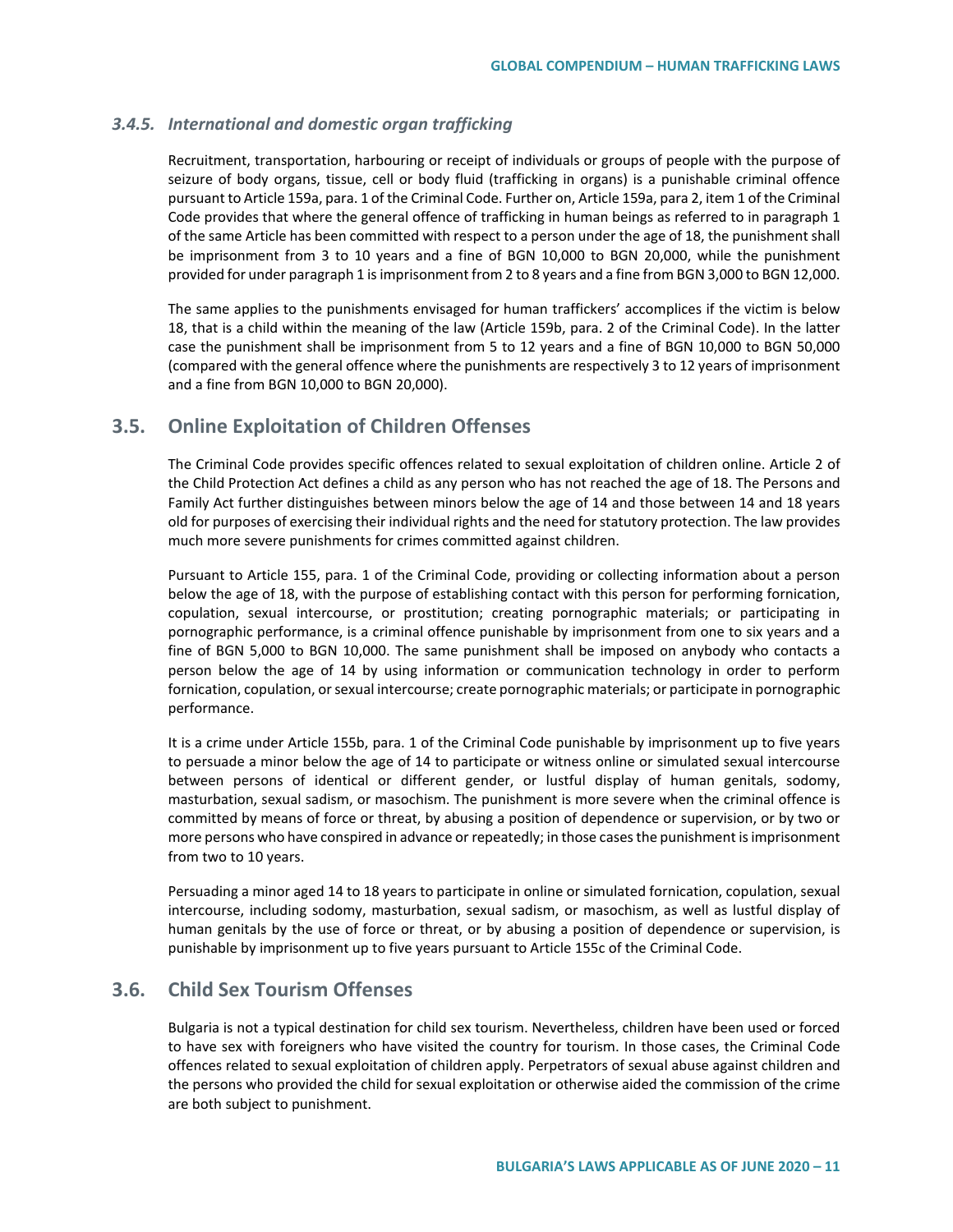#### *3.4.5. International and domestic organ trafficking*

Recruitment, transportation, harbouring or receipt of individuals or groups of people with the purpose of seizure of body organs, tissue, cell or body fluid (trafficking in organs) is a punishable criminal offence pursuant to Article 159a, para. 1 of the Criminal Code. Further on, Article 159a, para 2, item 1 of the Criminal Code provides that where the general offence of trafficking in human beings as referred to in paragraph 1 of the same Article has been committed with respect to a person under the age of 18, the punishment shall be imprisonment from 3 to 10 years and a fine of BGN 10,000 to BGN 20,000, while the punishment provided for under paragraph 1 is imprisonment from 2 to 8 years and a fine from BGN 3,000 to BGN 12,000.

The same applies to the punishments envisaged for human traffickers' accomplices if the victim is below 18, that is a child within the meaning of the law (Article 159b, para. 2 of the Criminal Code). In the latter case the punishment shall be imprisonment from 5 to 12 years and a fine of BGN 10,000 to BGN 50,000 (compared with the general offence where the punishments are respectively 3 to 12 years of imprisonment and a fine from BGN 10,000 to BGN 20,000).

# **3.5. Online Exploitation of Children Offenses**

The Criminal Code provides specific offences related to sexual exploitation of children online. Article 2 of the Child Protection Act defines a child as any person who has not reached the age of 18. The Persons and Family Act further distinguishes between minors below the age of 14 and those between 14 and 18 years old for purposes of exercising their individual rights and the need for statutory protection. The law provides much more severe punishments for crimes committed against children.

Pursuant to Article 155, para. 1 of the Criminal Code, providing or collecting information about a person below the age of 18, with the purpose of establishing contact with this person for performing fornication, copulation, sexual intercourse, or prostitution; creating pornographic materials; or participating in pornographic performance, is a criminal offence punishable by imprisonment from one to six years and a fine of BGN 5,000 to BGN 10,000. The same punishment shall be imposed on anybody who contacts a person below the age of 14 by using information or communication technology in order to perform fornication, copulation, or sexual intercourse; create pornographic materials; or participate in pornographic performance.

It is a crime under Article 155b, para. 1 of the Criminal Code punishable by imprisonment up to five years to persuade a minor below the age of 14 to participate or witness online or simulated sexual intercourse between persons of identical or different gender, or lustful display of human genitals, sodomy, masturbation, sexual sadism, or masochism. The punishment is more severe when the criminal offence is committed by means of force or threat, by abusing a position of dependence or supervision, or by two or more persons who have conspired in advance or repeatedly; in those cases the punishment is imprisonment from two to 10 years.

Persuading a minor aged 14 to 18 years to participate in online or simulated fornication, copulation, sexual intercourse, including sodomy, masturbation, sexual sadism, or masochism, as well as lustful display of human genitals by the use of force or threat, or by abusing a position of dependence or supervision, is punishable by imprisonment up to five years pursuant to Article 155c of the Criminal Code.

# **3.6. Child Sex Tourism Offenses**

Bulgaria is not a typical destination for child sex tourism. Nevertheless, children have been used or forced to have sex with foreigners who have visited the country for tourism. In those cases, the Criminal Code offences related to sexual exploitation of children apply. Perpetrators of sexual abuse against children and the persons who provided the child for sexual exploitation or otherwise aided the commission of the crime are both subject to punishment.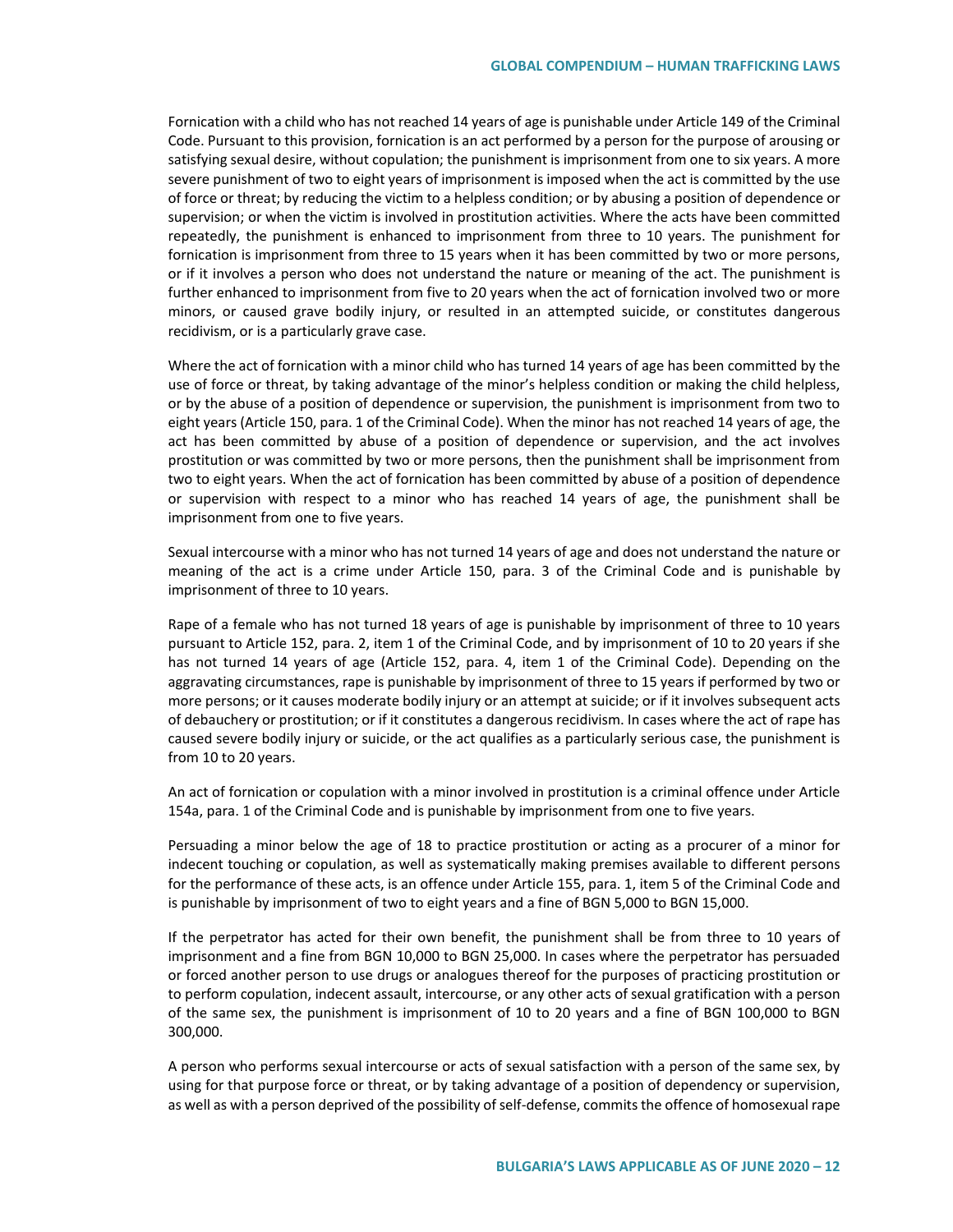Fornication with a child who has not reached 14 years of age is punishable under Article 149 of the Criminal Code. Pursuant to this provision, fornication is an act performed by a person for the purpose of arousing or satisfying sexual desire, without copulation; the punishment is imprisonment from one to six years. A more severe punishment of two to eight years of imprisonment is imposed when the act is committed by the use of force or threat; by reducing the victim to a helpless condition; or by abusing a position of dependence or supervision; or when the victim is involved in prostitution activities. Where the acts have been committed repeatedly, the punishment is enhanced to imprisonment from three to 10 years. The punishment for fornication is imprisonment from three to 15 years when it has been committed by two or more persons, or if it involves a person who does not understand the nature or meaning of the act. The punishment is further enhanced to imprisonment from five to 20 years when the act of fornication involved two or more minors, or caused grave bodily injury, or resulted in an attempted suicide, or constitutes dangerous recidivism, or is a particularly grave case.

Where the act of fornication with a minor child who has turned 14 years of age has been committed by the use of force or threat, by taking advantage of the minor's helpless condition or making the child helpless, or by the abuse of a position of dependence or supervision, the punishment is imprisonment from two to eight years (Article 150, para. 1 of the Criminal Code). When the minor has not reached 14 years of age, the act has been committed by abuse of a position of dependence or supervision, and the act involves prostitution or was committed by two or more persons, then the punishment shall be imprisonment from two to eight years. When the act of fornication has been committed by abuse of a position of dependence or supervision with respect to a minor who has reached 14 years of age, the punishment shall be imprisonment from one to five years.

Sexual intercourse with a minor who has not turned 14 years of age and does not understand the nature or meaning of the act is a crime under Article 150, para. 3 of the Criminal Code and is punishable by imprisonment of three to 10 years.

Rape of a female who has not turned 18 years of age is punishable by imprisonment of three to 10 years pursuant to Article 152, para. 2, item 1 of the Criminal Code, and by imprisonment of 10 to 20 years if she has not turned 14 years of age (Article 152, para. 4, item 1 of the Criminal Code). Depending on the aggravating circumstances, rape is punishable by imprisonment of three to 15 years if performed by two or more persons; or it causes moderate bodily injury or an attempt at suicide; or if it involves subsequent acts of debauchery or prostitution; or if it constitutes a dangerous recidivism. In cases where the act of rape has caused severe bodily injury or suicide, or the act qualifies as a particularly serious case, the punishment is from 10 to 20 years.

An act of fornication or copulation with a minor involved in prostitution is a criminal offence under Article 154a, para. 1 of the Criminal Code and is punishable by imprisonment from one to five years.

Persuading a minor below the age of 18 to practice prostitution or acting as a procurer of a minor for indecent touching or copulation, as well as systematically making premises available to different persons for the performance of these acts, is an offence under Article 155, para. 1, item 5 of the Criminal Code and is punishable by imprisonment of two to eight years and a fine of BGN 5,000 to BGN 15,000.

If the perpetrator has acted for their own benefit, the punishment shall be from three to 10 years of imprisonment and a fine from BGN 10,000 to BGN 25,000. In cases where the perpetrator has persuaded or forced another person to use drugs or analogues thereof for the purposes of practicing prostitution or to perform copulation, indecent assault, intercourse, or any other acts of sexual gratification with a person of the same sex, the punishment is imprisonment of 10 to 20 years and a fine of BGN 100,000 to BGN 300,000.

A person who performs sexual intercourse or acts of sexual satisfaction with a person of the same sex, by using for that purpose force or threat, or by taking advantage of a position of dependency or supervision, as well as with a person deprived of the possibility of self-defense, commits the offence of homosexual rape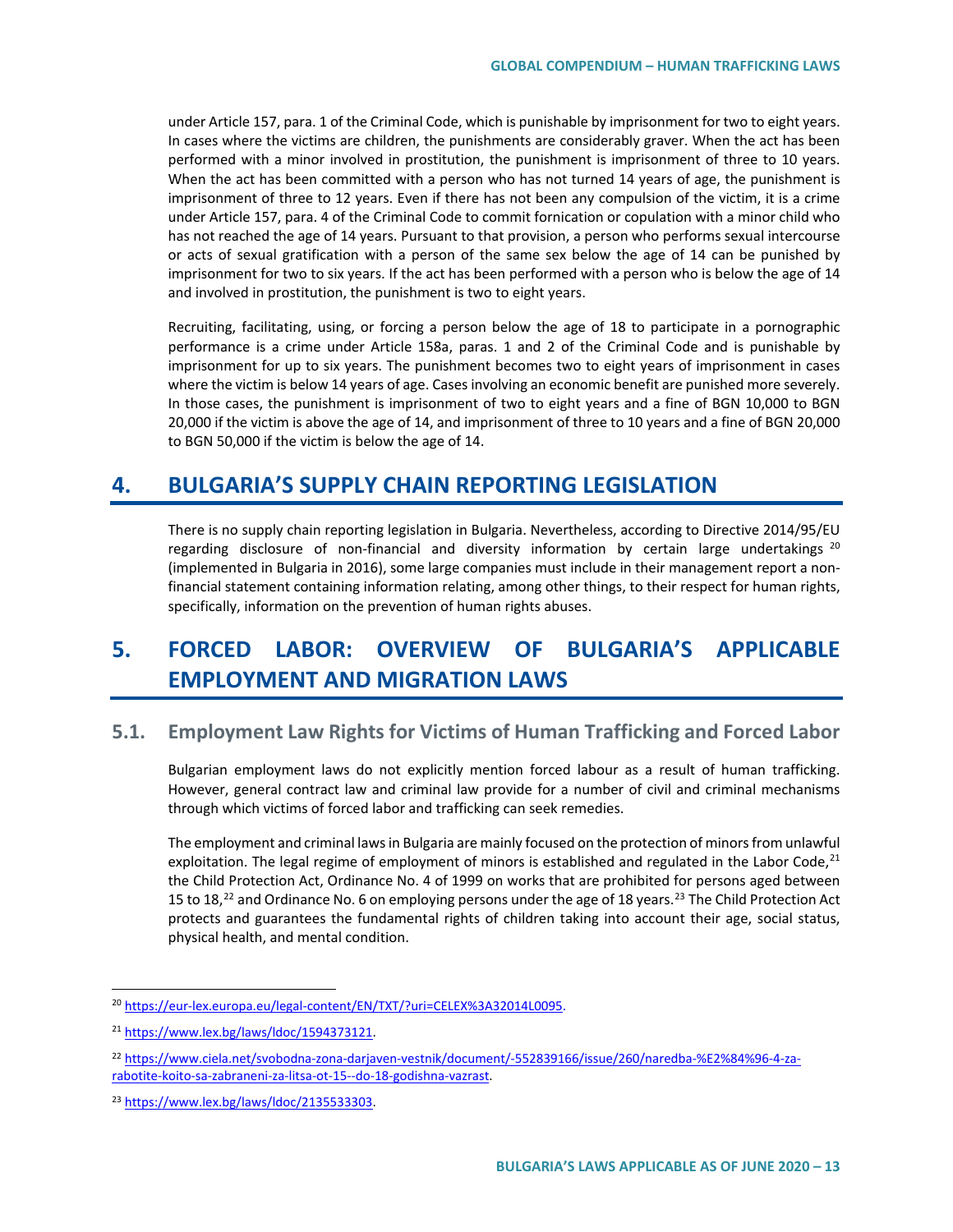under Article 157, para. 1 of the Criminal Code, which is punishable by imprisonment for two to eight years. In cases where the victims are children, the punishments are considerably graver. When the act has been performed with a minor involved in prostitution, the punishment is imprisonment of three to 10 years. When the act has been committed with a person who has not turned 14 years of age, the punishment is imprisonment of three to 12 years. Even if there has not been any compulsion of the victim, it is a crime under Article 157, para. 4 of the Criminal Code to commit fornication or copulation with a minor child who has not reached the age of 14 years. Pursuant to that provision, a person who performs sexual intercourse or acts of sexual gratification with a person of the same sex below the age of 14 can be punished by imprisonment for two to six years. If the act has been performed with a person who is below the age of 14 and involved in prostitution, the punishment is two to eight years.

Recruiting, facilitating, using, or forcing a person below the age of 18 to participate in a pornographic performance is a crime under Article 158a, paras. 1 and 2 of the Criminal Code and is punishable by imprisonment for up to six years. The punishment becomes two to eight years of imprisonment in cases where the victim is below 14 years of age. Cases involving an economic benefit are punished more severely. In those cases, the punishment is imprisonment of two to eight years and a fine of BGN 10,000 to BGN 20,000 if the victim is above the age of 14, and imprisonment of three to 10 years and a fine of BGN 20,000 to BGN 50,000 if the victim is below the age of 14.

# **4. BULGARIA'S SUPPLY CHAIN REPORTING LEGISLATION**

There is no supply chain reporting legislation in Bulgaria. Nevertheless, according to Directive 2014/95/EU regarding disclosure of non-financial and diversity information by certain large undertakings  $^{20}$  $^{20}$  $^{20}$ (implemented in Bulgaria in 2016), some large companies must include in their management report a nonfinancial statement containing information relating, among other things, to their respect for human rights, specifically, information on the prevention of human rights abuses.

# **5. FORCED LABOR: OVERVIEW OF BULGARIA'S APPLICABLE EMPLOYMENT AND MIGRATION LAWS**

# **5.1. Employment Law Rights for Victims of Human Trafficking and Forced Labor**

Bulgarian employment laws do not explicitly mention forced labour as a result of human trafficking. However, general contract law and criminal law provide for a number of civil and criminal mechanisms through which victims of forced labor and trafficking can seek remedies.

The employment and criminal laws in Bulgaria are mainly focused on the protection of minors from unlawful exploitation. The legal regime of employment of minors is established and regulated in the Labor Code, $^{21}$  $^{21}$  $^{21}$ the Child Protection Act, Ordinance No. 4 of 1999 on works that are prohibited for persons aged between 15 to 18,<sup>[22](#page-12-2)</sup> and Ordinance No. 6 on employing persons under the age of 18 years.<sup>[23](#page-12-3)</sup> The Child Protection Act protects and guarantees the fundamental rights of children taking into account their age, social status, physical health, and mental condition.

<span id="page-12-0"></span> <sup>20</sup> [https://eur-lex.europa.eu/legal-content/EN/TXT/?uri=CELEX%3A32014L0095.](https://eur-lex.europa.eu/legal-content/EN/TXT/?uri=CELEX%3A32014L0095)

<span id="page-12-1"></span><sup>21</sup> [https://www.lex.bg/laws/ldoc/1594373121.](https://www.lex.bg/laws/ldoc/1594373121)

<span id="page-12-2"></span><sup>22</sup> [https://www.ciela.net/svobodna-zona-darjaven-vestnik/document/-552839166/issue/260/naredba-%E2%84%96-4-za](https://www.ciela.net/svobodna-zona-darjaven-vestnik/document/-552839166/issue/260/naredba-%E2%84%96-4-za-rabotite-koito-sa-zabraneni-za-litsa-ot-15--do-18-godishna-vazrast)[rabotite-koito-sa-zabraneni-za-litsa-ot-15--do-18-godishna-vazrast.](https://www.ciela.net/svobodna-zona-darjaven-vestnik/document/-552839166/issue/260/naredba-%E2%84%96-4-za-rabotite-koito-sa-zabraneni-za-litsa-ot-15--do-18-godishna-vazrast)

<span id="page-12-3"></span><sup>23</sup> [https://www.lex.bg/laws/ldoc/2135533303.](https://www.lex.bg/laws/ldoc/2135533303)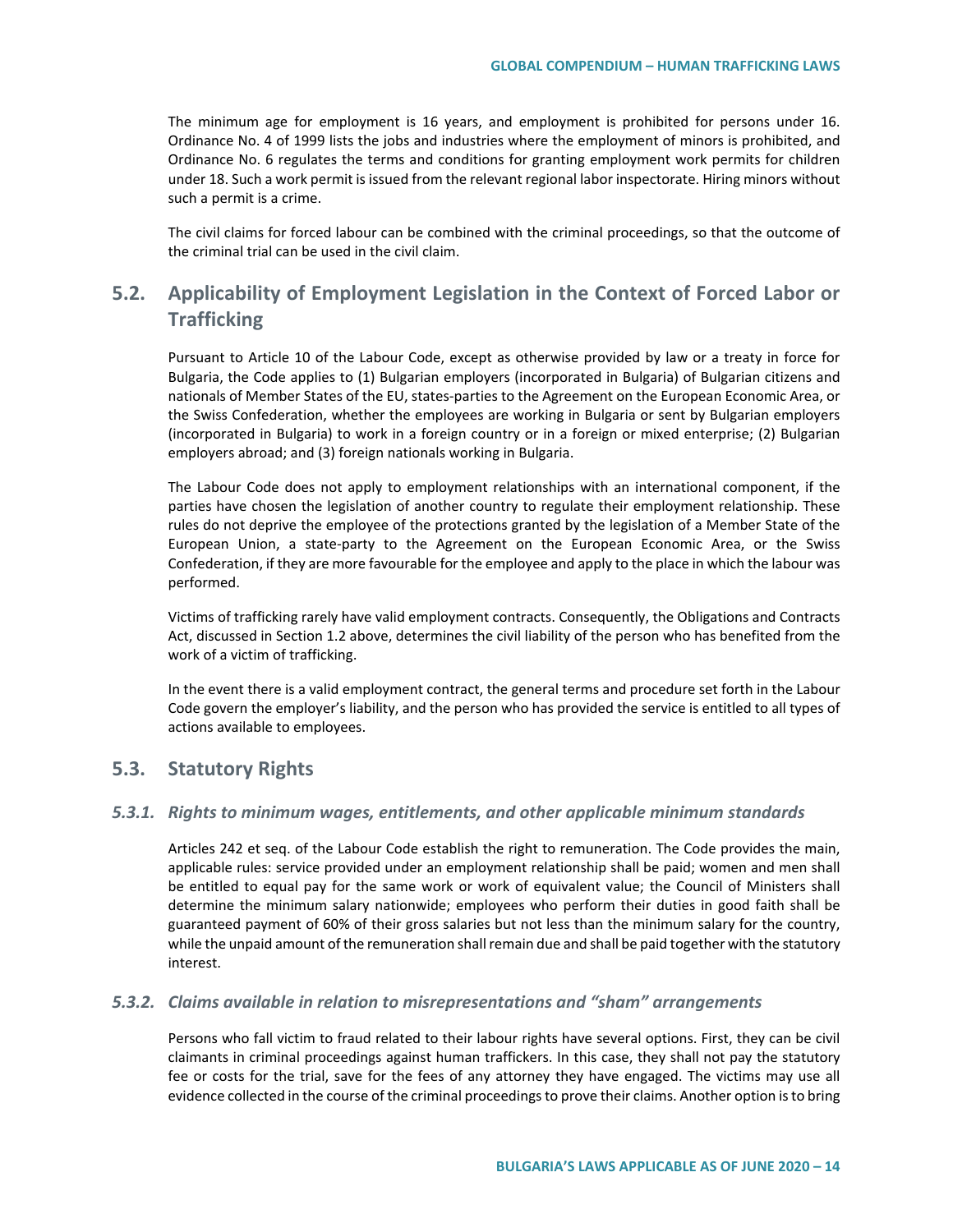The minimum age for employment is 16 years, and employment is prohibited for persons under 16. Ordinance No. 4 of 1999 lists the jobs and industries where the employment of minors is prohibited, and Ordinance No. 6 regulates the terms and conditions for granting employment work permits for children under 18. Such a work permit is issued from the relevant regional labor inspectorate. Hiring minors without such a permit is a crime.

The civil claims for forced labour can be combined with the criminal proceedings, so that the outcome of the criminal trial can be used in the civil claim.

# **5.2. Applicability of Employment Legislation in the Context of Forced Labor or Trafficking**

Pursuant to Article 10 of the Labour Code, except as otherwise provided by law or a treaty in force for Bulgaria, the Code applies to (1) Bulgarian employers (incorporated in Bulgaria) of Bulgarian citizens and nationals of Member States of the EU, states-parties to the Agreement on the European Economic Area, or the Swiss Confederation, whether the employees are working in Bulgaria or sent by Bulgarian employers (incorporated in Bulgaria) to work in a foreign country or in a foreign or mixed enterprise; (2) Bulgarian employers abroad; and (3) foreign nationals working in Bulgaria.

The Labour Code does not apply to employment relationships with an international component, if the parties have chosen the legislation of another country to regulate their employment relationship. These rules do not deprive the employee of the protections granted by the legislation of a Member State of the European Union, a state-party to the Agreement on the European Economic Area, or the Swiss Confederation, if they are more favourable for the employee and apply to the place in which the labour was performed.

Victims of trafficking rarely have valid employment contracts. Consequently, the Obligations and Contracts Act, discussed in Section 1.2 above, determines the civil liability of the person who has benefited from the work of a victim of trafficking.

In the event there is a valid employment contract, the general terms and procedure set forth in the Labour Code govern the employer's liability, and the person who has provided the service is entitled to all types of actions available to employees.

### **5.3. Statutory Rights**

#### *5.3.1. Rights to minimum wages, entitlements, and other applicable minimum standards*

Articles 242 et seq. of the Labour Code establish the right to remuneration. The Code provides the main, applicable rules: service provided under an employment relationship shall be paid; women and men shall be entitled to equal pay for the same work or work of equivalent value; the Council of Ministers shall determine the minimum salary nationwide; employees who perform their duties in good faith shall be guaranteed payment of 60% of their gross salaries but not less than the minimum salary for the country, while the unpaid amount of the remuneration shall remain due and shall be paid together with the statutory interest.

#### *5.3.2. Claims available in relation to misrepresentations and "sham" arrangements*

Persons who fall victim to fraud related to their labour rights have several options. First, they can be civil claimants in criminal proceedings against human traffickers. In this case, they shall not pay the statutory fee or costs for the trial, save for the fees of any attorney they have engaged. The victims may use all evidence collected in the course of the criminal proceedings to prove their claims. Another option is to bring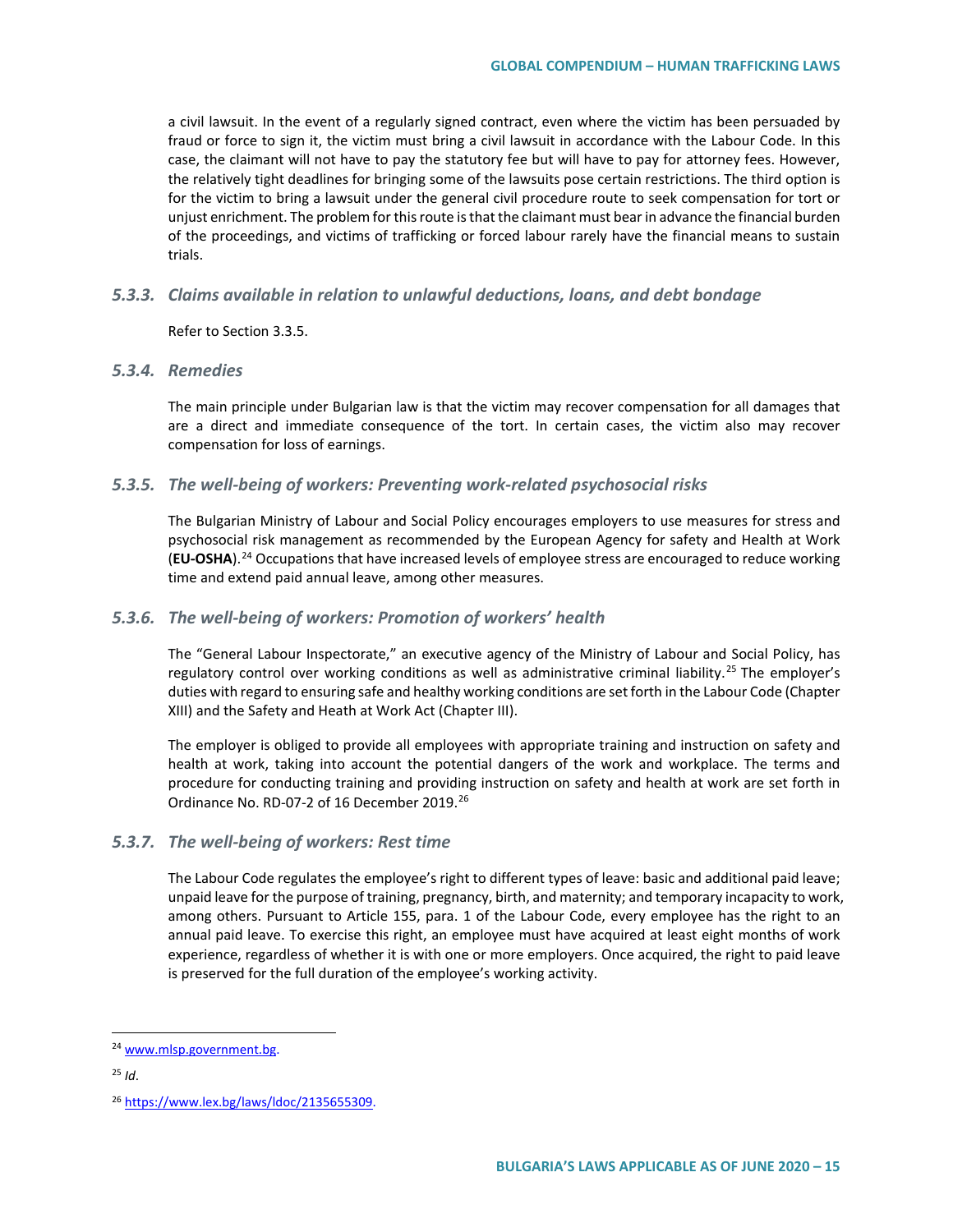a civil lawsuit. In the event of a regularly signed contract, even where the victim has been persuaded by fraud or force to sign it, the victim must bring a civil lawsuit in accordance with the Labour Code. In this case, the claimant will not have to pay the statutory fee but will have to pay for attorney fees. However, the relatively tight deadlines for bringing some of the lawsuits pose certain restrictions. The third option is for the victim to bring a lawsuit under the general civil procedure route to seek compensation for tort or unjust enrichment. The problem for this route is that the claimant must bear in advance the financial burden of the proceedings, and victims of trafficking or forced labour rarely have the financial means to sustain trials.

#### *5.3.3. Claims available in relation to unlawful deductions, loans, and debt bondage*

Refer to Section 3.3.5.

#### *5.3.4. Remedies*

The main principle under Bulgarian law is that the victim may recover compensation for all damages that are a direct and immediate consequence of the tort. In certain cases, the victim also may recover compensation for loss of earnings.

#### *5.3.5. The well-being of workers: Preventing work-related psychosocial risks*

The Bulgarian Ministry of Labour and Social Policy encourages employers to use measures for stress and psychosocial risk management as recommended by the European Agency for safety and Health at Work (**ЕU-OSHA**).[24](#page-14-0) Occupations that have increased levels of employee stress are encouraged to reduce working time and extend paid annual leave, among other measures.

#### *5.3.6. The well-being of workers: Promotion of workers' health*

The "General Labour Inspectorate," an executive agency of the Ministry of Labour and Social Policy, has regulatory control over working conditions as well as administrative criminal liability.<sup>[25](#page-14-1)</sup> The employer's duties with regard to ensuring safe and healthy working conditions are set forth in the Labour Code (Chapter XIII) and the Safety and Heath at Work Act (Chapter III).

The employer is obliged to provide all employees with appropriate training and instruction on safety and health at work, taking into account the potential dangers of the work and workplace. The terms and procedure for conducting training and providing instruction on safety and health at work are set forth in Ordinance No. RD-07-2 of 16 December 2019.<sup>[26](#page-14-2)</sup>

#### *5.3.7. The well-being of workers: Rest time*

The Labour Code regulates the employee's right to different types of leave: basic and additional paid leave; unpaid leave for the purpose of training, pregnancy, birth, and maternity; and temporary incapacity to work, among others. Pursuant to Article 155, para. 1 of the Labour Code, every employee has the right to an annual paid leave. To exercise this right, an employee must have acquired at least eight months of work experience, regardless of whether it is with one or more employers. Once acquired, the right to paid leave is preserved for the full duration of the employee's working activity.

<span id="page-14-0"></span> <sup>24</sup> [www.mlsp.government.bg.](http://www.mlsp.government.bg/)

<span id="page-14-1"></span> $25$  *Id.* 

<span id="page-14-2"></span><sup>26</sup> [https://www.lex.bg/laws/ldoc/2135655309.](https://www.lex.bg/laws/ldoc/2135655309)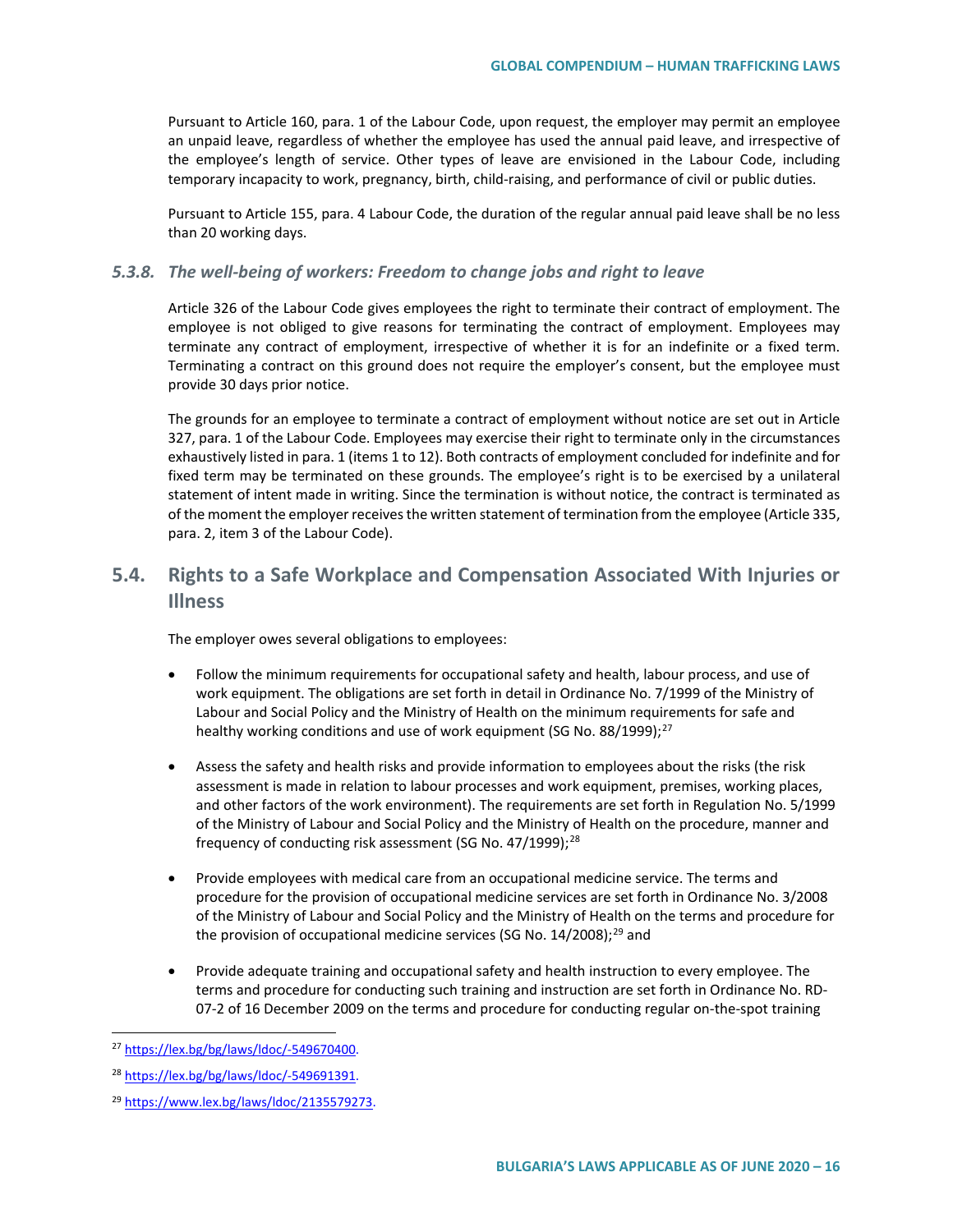Pursuant to Article 160, para. 1 of the Labour Code, upon request, the employer may permit an employee an unpaid leave, regardless of whether the employee has used the annual paid leave, and irrespective of the employee's length of service. Other types of leave are envisioned in the Labour Code, including temporary incapacity to work, pregnancy, birth, child-raising, and performance of civil or public duties.

Pursuant to Article 155, para. 4 Labour Code, the duration of the regular annual paid leave shall be no less than 20 working days.

#### *5.3.8. The well-being of workers: Freedom to change jobs and right to leave*

Article 326 of the Labour Code gives employees the right to terminate their contract of employment. The employee is not obliged to give reasons for terminating the contract of employment. Employees may terminate any contract of employment, irrespective of whether it is for an indefinite or a fixed term. Terminating a contract on this ground does not require the employer's consent, but the employee must provide 30 days prior notice.

The grounds for an employee to terminate a contract of employment without notice are set out in Article 327, para. 1 of the Labour Code. Employees may exercise their right to terminate only in the circumstances exhaustively listed in para. 1 (items 1 to 12). Both contracts of employment concluded for indefinite and for fixed term may be terminated on these grounds. The employee's right is to be exercised by a unilateral statement of intent made in writing. Since the termination is without notice, the contract is terminated as of the moment the employer receives the written statement of termination from the employee (Article 335, para. 2, item 3 of the Labour Code).

# **5.4. Rights to a Safe Workplace and Compensation Associated With Injuries or Illness**

The employer owes several obligations to employees:

- Follow the minimum requirements for occupational safety and health, labour process, and use of work equipment. The obligations are set forth in detail in Ordinance No. 7/1999 of the Ministry of Labour and Social Policy and the Ministry of Health on the minimum requirements for safe and healthy working conditions and use of work equipment (SG No. 88/1999);<sup>[27](#page-15-0)</sup>
- Assess the safety and health risks and provide information to employees about the risks (the risk assessment is made in relation to labour processes and work equipment, premises, working places, and other factors of the work environment). The requirements are set forth in Regulation No. 5/1999 of the Ministry of Labour and Social Policy and the Ministry of Health on the procedure, manner and frequency of conducting risk assessment (SG No.  $47/1999$ );<sup>[28](#page-15-1)</sup>
- Provide employees with medical care from an occupational medicine service. The terms and procedure for the provision of occupational medicine services are set forth in Ordinance No. 3/2008 of the Ministry of Labour and Social Policy and the Ministry of Health on the terms and procedure for the provision of occupational medicine services (SG No.  $14/2008$ );<sup>[29](#page-15-2)</sup> and
- Provide adequate training and occupational safety and health instruction to every employee. The terms and procedure for conducting such training and instruction are set forth in Ordinance No. RD-07-2 of 16 December 2009 on the terms and procedure for conducting regular on-the-spot training

<span id="page-15-0"></span> <sup>27</sup> [https://lex.bg/bg/laws/ldoc/-549670400.](https://lex.bg/bg/laws/ldoc/-549670400)

<span id="page-15-1"></span><sup>28</sup> [https://lex.bg/bg/laws/ldoc/-549691391.](https://lex.bg/bg/laws/ldoc/-549691391)

<span id="page-15-2"></span><sup>29</sup> [https://www.lex.bg/laws/ldoc/2135579273.](https://www.lex.bg/laws/ldoc/2135579273)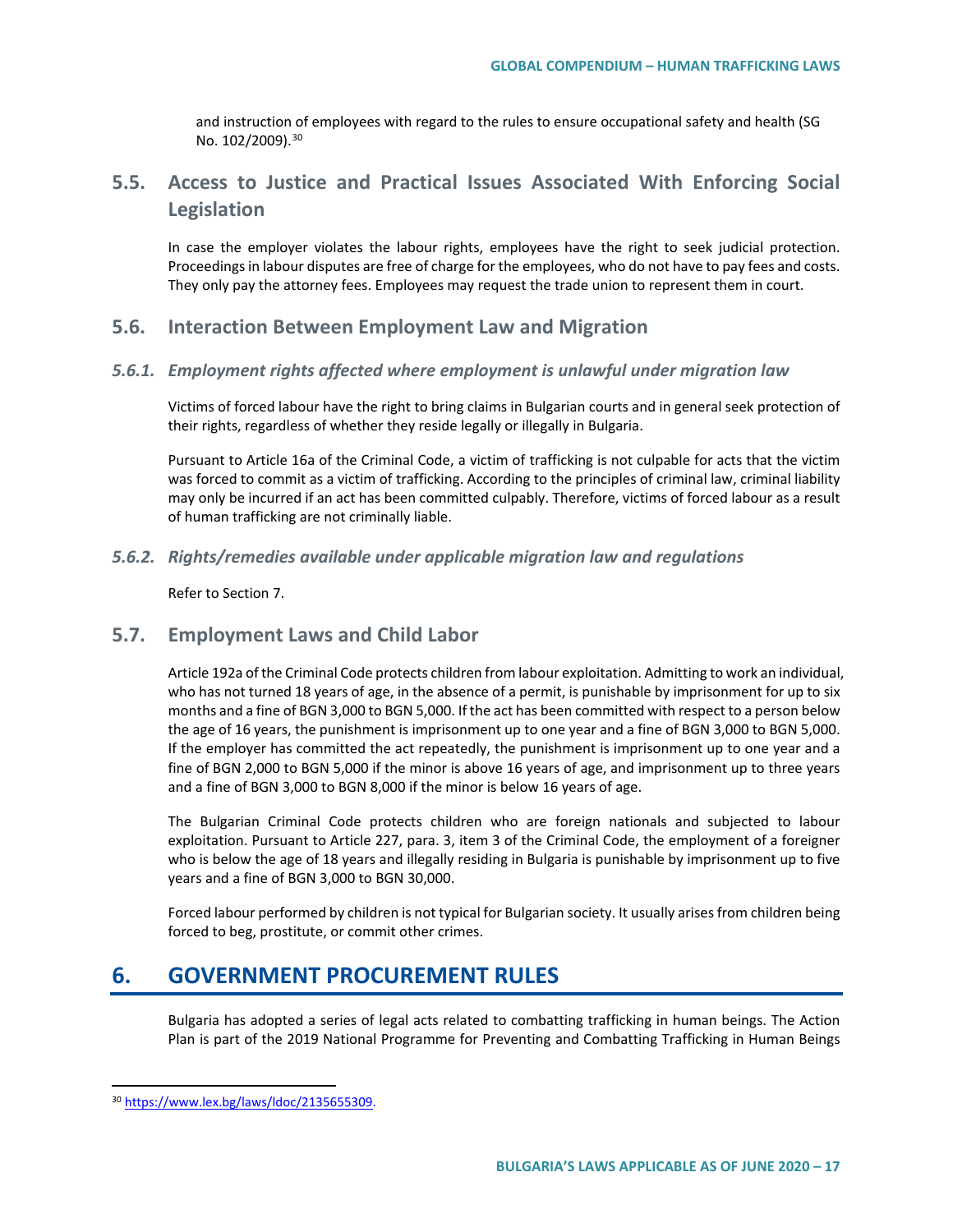and instruction of employees with regard to the rules to ensure occupational safety and health (SG No. 102/2009).<sup>[30](#page-16-0)</sup>

# **5.5. Access to Justice and Practical Issues Associated With Enforcing Social Legislation**

In case the employer violates the labour rights, employees have the right to seek judicial protection. Proceedings in labour disputes are free of charge for the employees, who do not have to pay fees and costs. They only pay the attorney fees. Employees may request the trade union to represent them in court.

### **5.6. Interaction Between Employment Law and Migration**

#### *5.6.1. Employment rights affected where employment is unlawful under migration law*

Victims of forced labour have the right to bring claims in Bulgarian courts and in general seek protection of their rights, regardless of whether they reside legally or illegally in Bulgaria.

Pursuant to Article 16a of the Criminal Code, a victim of trafficking is not culpable for acts that the victim was forced to commit as a victim of trafficking. According to the principles of criminal law, criminal liability may only be incurred if an act has been committed culpably. Therefore, victims of forced labour as a result of human trafficking are not criminally liable.

#### *5.6.2. Rights/remedies available under applicable migration law and regulations*

Refer to Section 7.

### **5.7. Employment Laws and Child Labor**

Article 192a of the Criminal Code protects children from labour exploitation. Admitting to work an individual, who has not turned 18 years of age, in the absence of a permit, is punishable by imprisonment for up to six months and a fine of BGN 3,000 to BGN 5,000. If the act has been committed with respect to a person below the age of 16 years, the punishment is imprisonment up to one year and a fine of BGN 3,000 to BGN 5,000. If the employer has committed the act repeatedly, the punishment is imprisonment up to one year and a fine of BGN 2,000 to BGN 5,000 if the minor is above 16 years of age, and imprisonment up to three years and a fine of BGN 3,000 to BGN 8,000 if the minor is below 16 years of age.

The Bulgarian Criminal Code protects children who are foreign nationals and subjected to labour exploitation. Pursuant to Article 227, para. 3, item 3 of the Criminal Code, the employment of a foreigner who is below the age of 18 years and illegally residing in Bulgaria is punishable by imprisonment up to five years and a fine of BGN 3,000 to BGN 30,000.

Forced labour performed by children is not typical for Bulgarian society. It usually arises from children being forced to beg, prostitute, or commit other crimes.

# **6. GOVERNMENT PROCUREMENT RULES**

Bulgaria has adopted a series of legal acts related to combatting trafficking in human beings. The Action Plan is part of the 2019 National Programme for Preventing and Combatting Trafficking in Human Beings

<span id="page-16-0"></span> <sup>30</sup> [https://www.lex.bg/laws/ldoc/2135655309.](https://www.lex.bg/laws/ldoc/2135655309)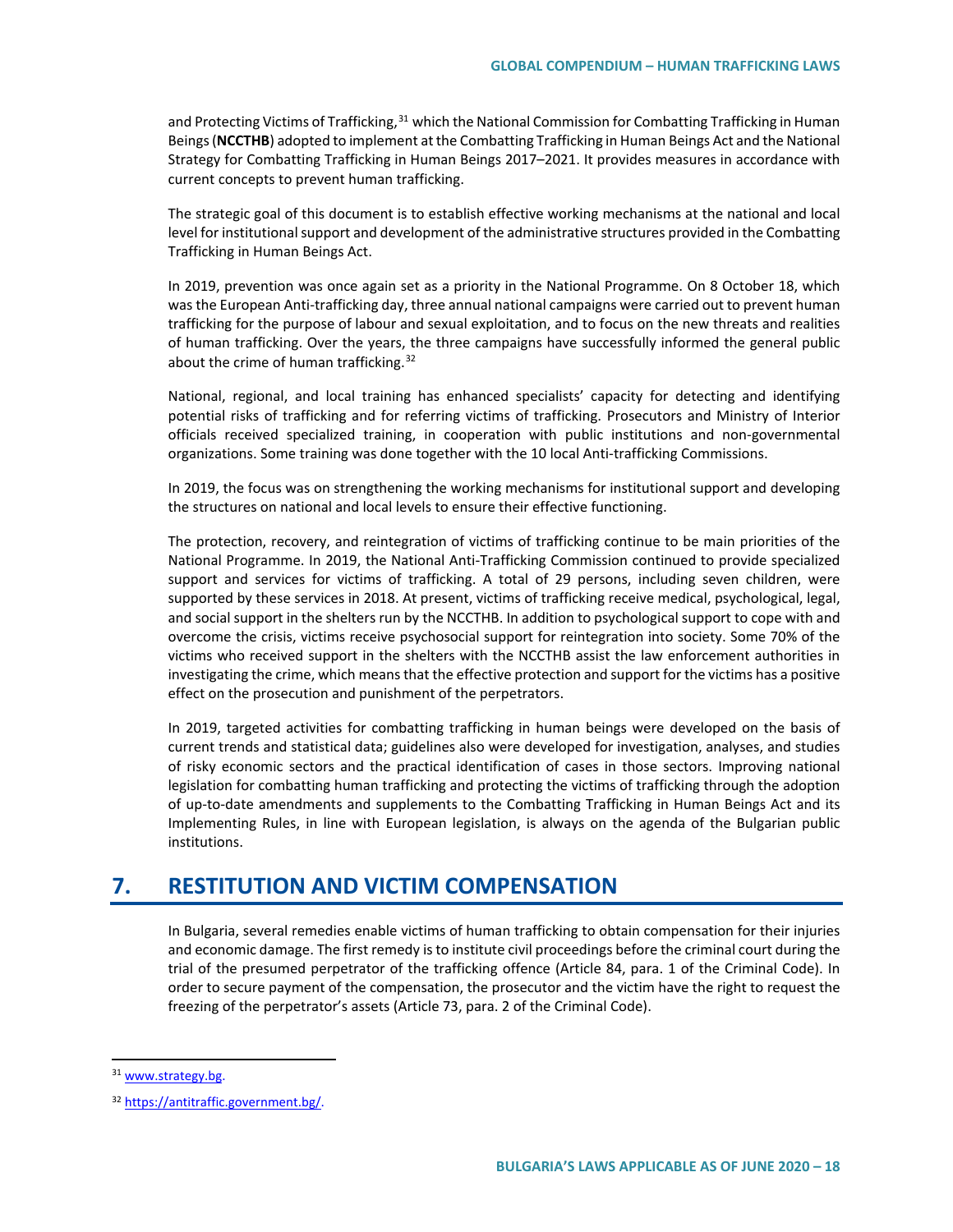and Protecting Victims of Trafficking,<sup>[31](#page-17-0)</sup> which the National Commission for Combatting Trafficking in Human Beings (**NCCTHB**) adopted to implement at the Combatting Trafficking in Human Beings Act and the National Strategy for Combatting Trafficking in Human Beings 2017–2021. It provides measures in accordance with current concepts to prevent human trafficking.

The strategic goal of this document is to establish effective working mechanisms at the national and local level for institutional support and development of the administrative structures provided in the Combatting Trafficking in Human Beings Act.

In 2019, prevention was once again set as a priority in the National Programme. On 8 October 18, which was the European Anti-trafficking day, three annual national campaigns were carried out to prevent human trafficking for the purpose of labour and sexual exploitation, and to focus on the new threats and realities of human trafficking. Over the years, the three campaigns have successfully informed the general public about the crime of human trafficking.<sup>[32](#page-17-1)</sup>

National, regional, and local training has enhanced specialists' capacity for detecting and identifying potential risks of trafficking and for referring victims of trafficking. Prosecutors and Ministry of Interior officials received specialized training, in cooperation with public institutions and non-governmental organizations. Some training was done together with the 10 local Anti-trafficking Commissions.

In 2019, the focus was on strengthening the working mechanisms for institutional support and developing the structures on national and local levels to ensure their effective functioning.

The protection, recovery, and reintegration of victims of trafficking continue to be main priorities of the National Programme. In 2019, the National Anti-Trafficking Commission continued to provide specialized support and services for victims of trafficking. A total of 29 persons, including seven children, were supported by these services in 2018. At present, victims of trafficking receive medical, psychological, legal, and social support in the shelters run by the NCCTHB. In addition to psychological support to cope with and overcome the crisis, victims receive psychosocial support for reintegration into society. Some 70% of the victims who received support in the shelters with the NCCTHB assist the law enforcement authorities in investigating the crime, which means that the effective protection and support for the victims has a positive effect on the prosecution and punishment of the perpetrators.

In 2019, targeted activities for combatting trafficking in human beings were developed on the basis of current trends and statistical data; guidelines also were developed for investigation, analyses, and studies of risky economic sectors and the practical identification of cases in those sectors. Improving national legislation for combatting human trafficking and protecting the victims of trafficking through the adoption of up-to-date amendments and supplements to the Combatting Trafficking in Human Beings Act and its Implementing Rules, in line with European legislation, is always on the agenda of the Bulgarian public institutions.

# **7. RESTITUTION AND VICTIM COMPENSATION**

In Bulgaria, several remedies enable victims of human trafficking to obtain compensation for their injuries and economic damage. The first remedy is to institute civil proceedings before the criminal court during the trial of the presumed perpetrator of the trafficking offence (Article 84, para. 1 of the Criminal Code). In order to secure payment of the compensation, the prosecutor and the victim have the right to request the freezing of the perpetrator's assets (Article 73, para. 2 of the Criminal Code).

<span id="page-17-0"></span><sup>&</sup>lt;sup>31</sup> [www.strategy.bg.](http://www.strategy.bg/)

<span id="page-17-1"></span><sup>32</sup> [https://antitraffic.government.bg/.](https://antitraffic.government.bg/)